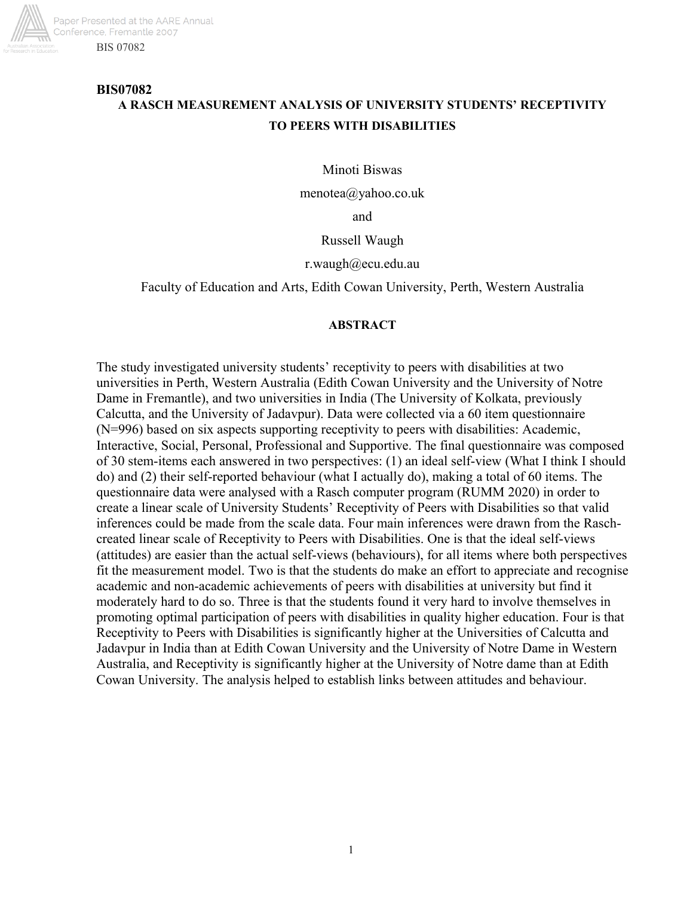

# **BIS07082 A RASCH MEASUREMENT ANALYSIS OF UNIVERSITY STUDENTS' RECEPTIVITY TO PEERS WITH DISABILITIES**

Minoti Biswas

menotea@yahoo.co.uk

and

Russell Waugh

#### r.waugh@ecu.edu.au

Faculty of Education and Arts, Edith Cowan University, Perth, Western Australia

#### **ABSTRACT**

The study investigated university students' receptivity to peers with disabilities at two universities in Perth, Western Australia (Edith Cowan University and the University of Notre Dame in Fremantle), and two universities in India (The University of Kolkata, previously Calcutta, and the University of Jadavpur). Data were collected via a 60 item questionnaire (N=996) based on six aspects supporting receptivity to peers with disabilities: Academic, Interactive, Social, Personal, Professional and Supportive. The final questionnaire was composed of 30 stem-items each answered in two perspectives: (1) an ideal self-view (What I think I should do) and (2) their self-reported behaviour (what I actually do), making a total of 60 items. The questionnaire data were analysed with a Rasch computer program (RUMM 2020) in order to create a linear scale of University Students' Receptivity of Peers with Disabilities so that valid inferences could be made from the scale data. Four main inferences were drawn from the Raschcreated linear scale of Receptivity to Peers with Disabilities. One is that the ideal self-views (attitudes) are easier than the actual self-views (behaviours), for all items where both perspectives fit the measurement model. Two is that the students do make an effort to appreciate and recognise academic and non-academic achievements of peers with disabilities at university but find it moderately hard to do so. Three is that the students found it very hard to involve themselves in promoting optimal participation of peers with disabilities in quality higher education. Four is that Receptivity to Peers with Disabilities is significantly higher at the Universities of Calcutta and Jadavpur in India than at Edith Cowan University and the University of Notre Dame in Western Australia, and Receptivity is significantly higher at the University of Notre dame than at Edith Cowan University. The analysis helped to establish links between attitudes and behaviour.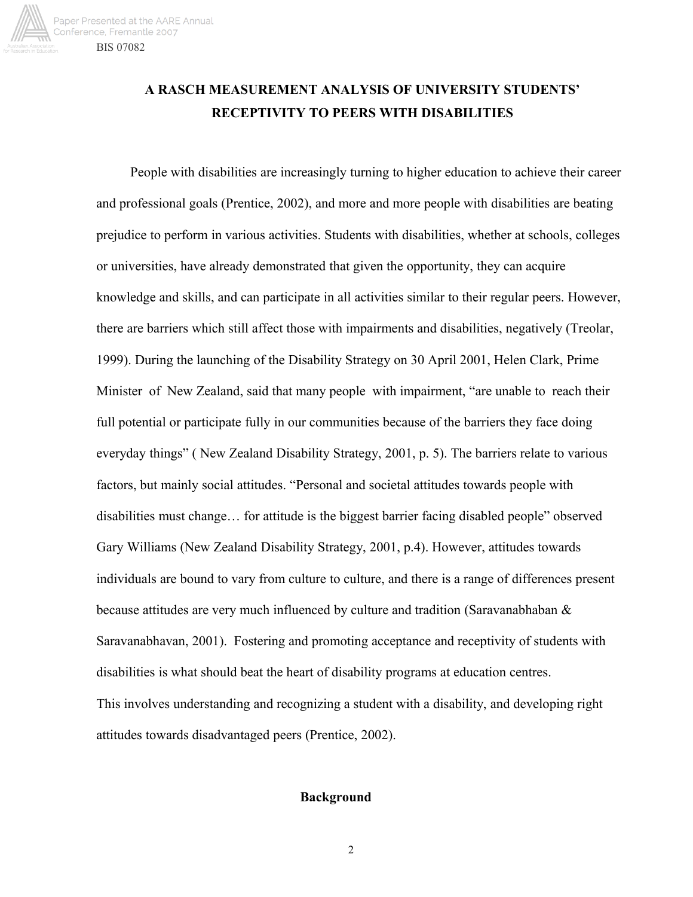

# **A RASCH MEASUREMENT ANALYSIS OF UNIVERSITY STUDENTS' RECEPTIVITY TO PEERS WITH DISABILITIES**

People with disabilities are increasingly turning to higher education to achieve their career and professional goals (Prentice, 2002), and more and more people with disabilities are beating prejudice to perform in various activities. Students with disabilities, whether at schools, colleges or universities, have already demonstrated that given the opportunity, they can acquire knowledge and skills, and can participate in all activities similar to their regular peers. However, there are barriers which still affect those with impairments and disabilities, negatively (Treolar, 1999). During the launching of the Disability Strategy on 30 April 2001, Helen Clark, Prime Minister of New Zealand, said that many people with impairment, "are unable to reach their full potential or participate fully in our communities because of the barriers they face doing everyday things" ( New Zealand Disability Strategy, 2001, p. 5). The barriers relate to various factors, but mainly social attitudes. "Personal and societal attitudes towards people with disabilities must change… for attitude is the biggest barrier facing disabled people" observed Gary Williams (New Zealand Disability Strategy, 2001, p.4). However, attitudes towards individuals are bound to vary from culture to culture, and there is a range of differences present because attitudes are very much influenced by culture and tradition (Saravanabhaban & Saravanabhavan, 2001). Fostering and promoting acceptance and receptivity of students with disabilities is what should beat the heart of disability programs at education centres. This involves understanding and recognizing a student with a disability, and developing right attitudes towards disadvantaged peers (Prentice, 2002).

## **Background**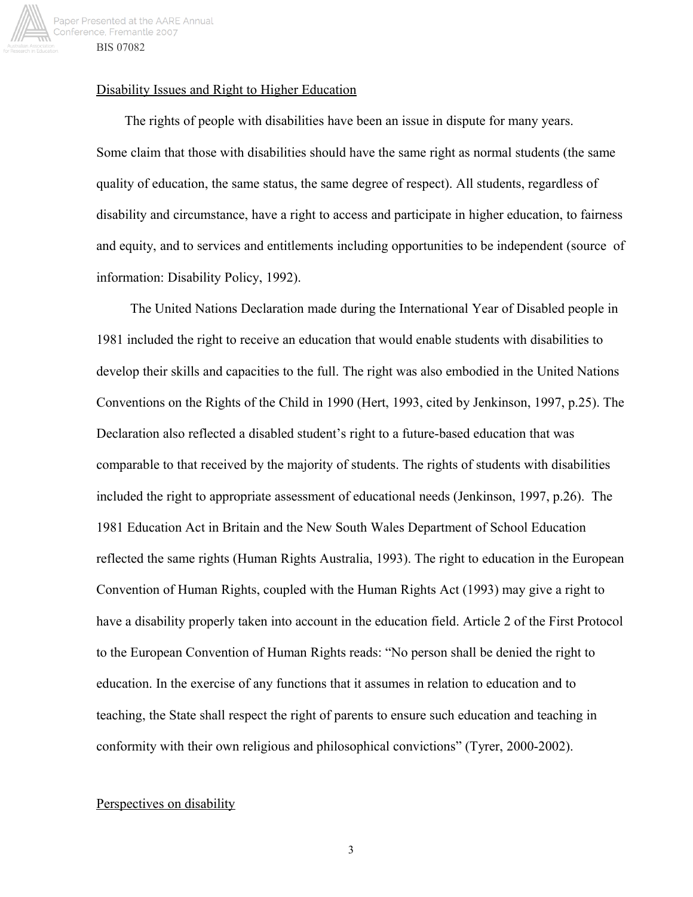

## Disability Issues and Right to Higher Education

The rights of people with disabilities have been an issue in dispute for many years. Some claim that those with disabilities should have the same right as normal students (the same quality of education, the same status, the same degree of respect). All students, regardless of disability and circumstance, have a right to access and participate in higher education, to fairness and equity, and to services and entitlements including opportunities to be independent (source of information: Disability Policy, 1992).

The United Nations Declaration made during the International Year of Disabled people in 1981 included the right to receive an education that would enable students with disabilities to develop their skills and capacities to the full. The right was also embodied in the United Nations Conventions on the Rights of the Child in 1990 (Hert, 1993, cited by Jenkinson, 1997, p.25). The Declaration also reflected a disabled student's right to a future-based education that was comparable to that received by the majority of students. The rights of students with disabilities included the right to appropriate assessment of educational needs (Jenkinson, 1997, p.26). The 1981 Education Act in Britain and the New South Wales Department of School Education reflected the same rights (Human Rights Australia, 1993). The right to education in the European Convention of Human Rights, coupled with the Human Rights Act (1993) may give a right to have a disability properly taken into account in the education field. Article 2 of the First Protocol to the European Convention of Human Rights reads: "No person shall be denied the right to education. In the exercise of any functions that it assumes in relation to education and to teaching, the State shall respect the right of parents to ensure such education and teaching in conformity with their own religious and philosophical convictions" (Tyrer, 2000-2002).

## Perspectives on disability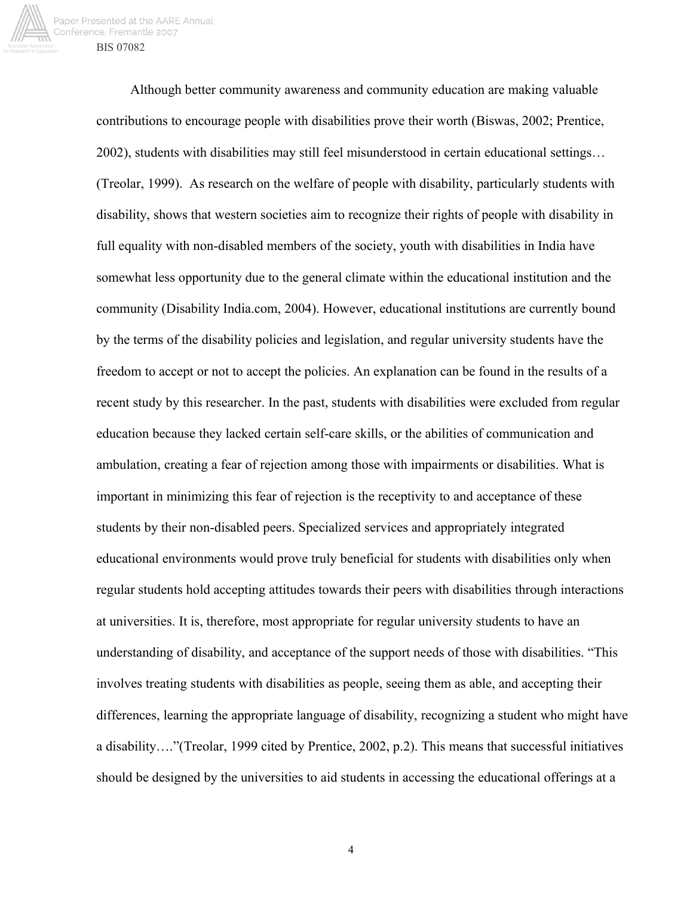

Although better community awareness and community education are making valuable contributions to encourage people with disabilities prove their worth (Biswas, 2002; Prentice, 2002), students with disabilities may still feel misunderstood in certain educational settings… (Treolar, 1999). As research on the welfare of people with disability, particularly students with disability, shows that western societies aim to recognize their rights of people with disability in full equality with non-disabled members of the society, youth with disabilities in India have somewhat less opportunity due to the general climate within the educational institution and the community (Disability India.com, 2004). However, educational institutions are currently bound by the terms of the disability policies and legislation, and regular university students have the freedom to accept or not to accept the policies. An explanation can be found in the results of a recent study by this researcher. In the past, students with disabilities were excluded from regular education because they lacked certain self-care skills, or the abilities of communication and ambulation, creating a fear of rejection among those with impairments or disabilities. What is important in minimizing this fear of rejection is the receptivity to and acceptance of these students by their non-disabled peers. Specialized services and appropriately integrated educational environments would prove truly beneficial for students with disabilities only when regular students hold accepting attitudes towards their peers with disabilities through interactions at universities. It is, therefore, most appropriate for regular university students to have an understanding of disability, and acceptance of the support needs of those with disabilities. "This involves treating students with disabilities as people, seeing them as able, and accepting their differences, learning the appropriate language of disability, recognizing a student who might have a disability…."(Treolar, 1999 cited by Prentice, 2002, p.2). This means that successful initiatives should be designed by the universities to aid students in accessing the educational offerings at a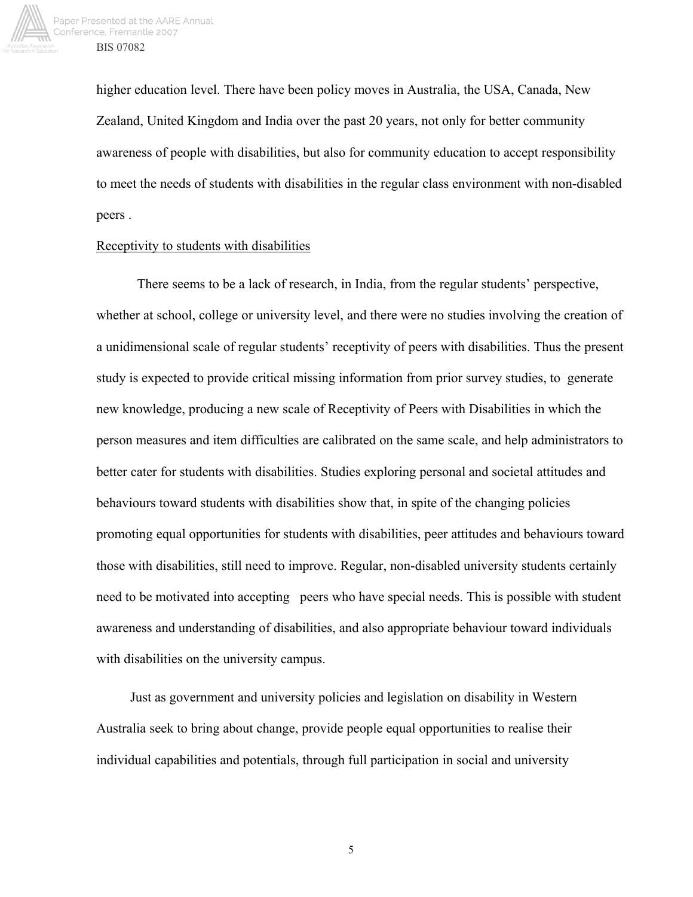

higher education level. There have been policy moves in Australia, the USA, Canada, New Zealand, United Kingdom and India over the past 20 years, not only for better community awareness of people with disabilities, but also for community education to accept responsibility to meet the needs of students with disabilities in the regular class environment with non-disabled peers .

#### Receptivity to students with disabilities

There seems to be a lack of research, in India, from the regular students' perspective, whether at school, college or university level, and there were no studies involving the creation of a unidimensional scale of regular students' receptivity of peers with disabilities. Thus the present study is expected to provide critical missing information from prior survey studies, to generate new knowledge, producing a new scale of Receptivity of Peers with Disabilities in which the person measures and item difficulties are calibrated on the same scale, and help administrators to better cater for students with disabilities. Studies exploring personal and societal attitudes and behaviours toward students with disabilities show that, in spite of the changing policies promoting equal opportunities for students with disabilities, peer attitudes and behaviours toward those with disabilities, still need to improve. Regular, non-disabled university students certainly need to be motivated into accepting peers who have special needs. This is possible with student awareness and understanding of disabilities, and also appropriate behaviour toward individuals with disabilities on the university campus.

Just as government and university policies and legislation on disability in Western Australia seek to bring about change, provide people equal opportunities to realise their individual capabilities and potentials, through full participation in social and university

 $\sim$  5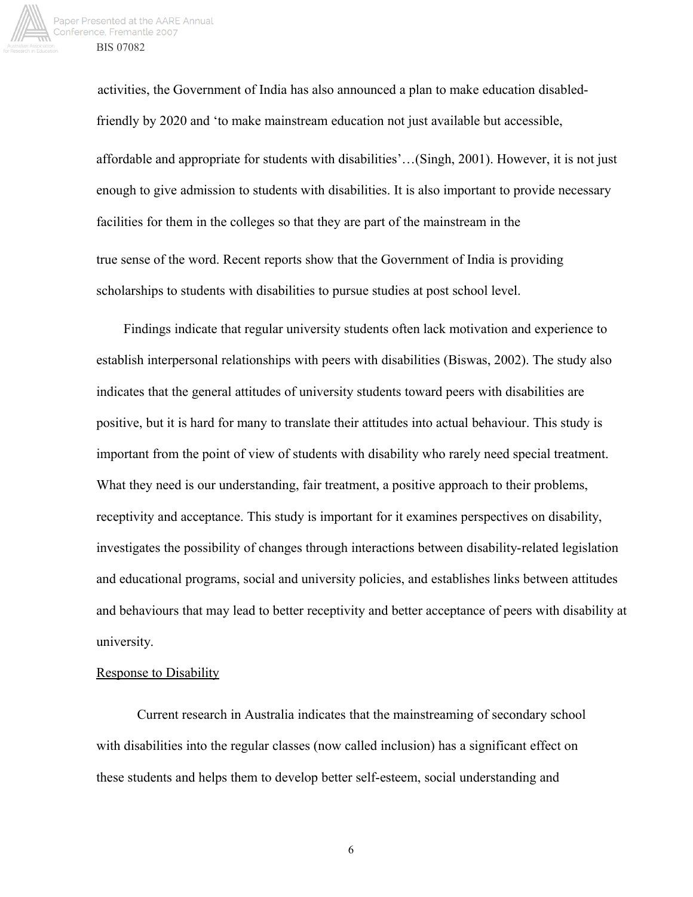

 activities, the Government of India has also announced a plan to make education disabledfriendly by 2020 and 'to make mainstream education not just available but accessible, affordable and appropriate for students with disabilities'…(Singh, 2001). However, it is not just enough to give admission to students with disabilities. It is also important to provide necessary facilities for them in the colleges so that they are part of the mainstream in the true sense of the word. Recent reports show that the Government of India is providing scholarships to students with disabilities to pursue studies at post school level.

 Findings indicate that regular university students often lack motivation and experience to establish interpersonal relationships with peers with disabilities (Biswas, 2002). The study also indicates that the general attitudes of university students toward peers with disabilities are positive, but it is hard for many to translate their attitudes into actual behaviour. This study is important from the point of view of students with disability who rarely need special treatment. What they need is our understanding, fair treatment, a positive approach to their problems, receptivity and acceptance. This study is important for it examines perspectives on disability, investigates the possibility of changes through interactions between disability-related legislation and educational programs, social and university policies, and establishes links between attitudes and behaviours that may lead to better receptivity and better acceptance of peers with disability at university.

### Response to Disability

Current research in Australia indicates that the mainstreaming of secondary school with disabilities into the regular classes (now called inclusion) has a significant effect on these students and helps them to develop better self-esteem, social understanding and

 $\sim$  6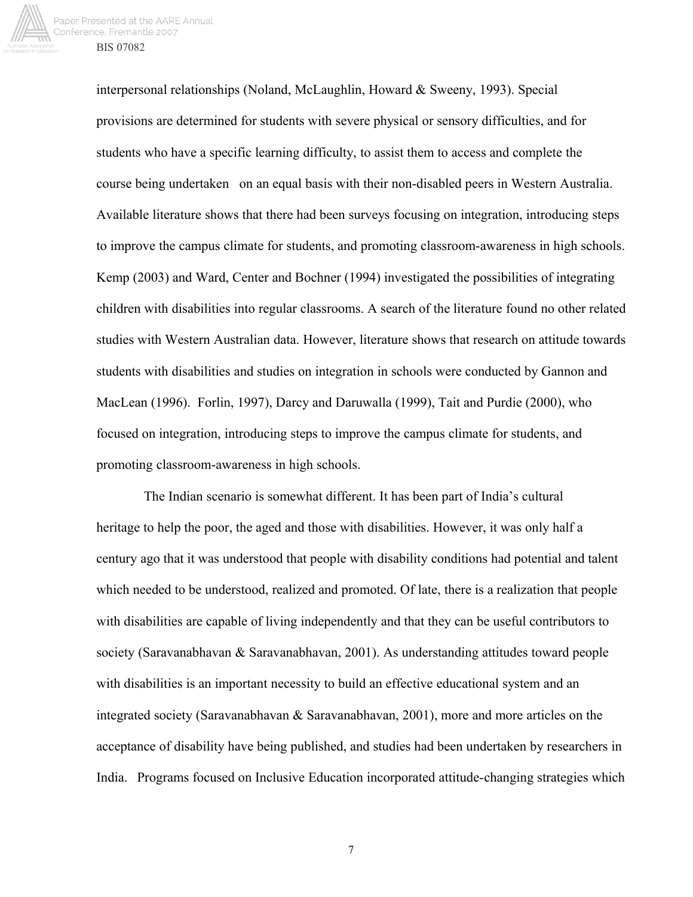

interpersonal relationships (Noland, McLaughlin, Howard & Sweeny, 1993). Special provisions are determined for students with severe physical or sensory difficulties, and for students who have a specific learning difficulty, to assist them to access and complete the course being undertaken on an equal basis with their non-disabled peers in Western Australia. Available literature shows that there had been surveys focusing on integration, introducing steps to improve the campus climate for students, and promoting classroom-awareness in high schools. Kemp (2003) and Ward, Center and Bochner (1994) investigated the possibilities of integrating children with disabilities into regular classrooms. A search of the literature found no other related studies with Western Australian data. However, literature shows that research on attitude towards students with disabilities and studies on integration in schools were conducted by Gannon and MacLean (1996). Forlin, 1997), Darcy and Daruwalla (1999), Tait and Purdie (2000), who focused on integration, introducing steps to improve the campus climate for students, and promoting classroom-awareness in high schools.

 The Indian scenario is somewhat different. It has been part of India's cultural heritage to help the poor, the aged and those with disabilities. However, it was only half a century ago that it was understood that people with disability conditions had potential and talent which needed to be understood, realized and promoted. Of late, there is a realization that people with disabilities are capable of living independently and that they can be useful contributors to society (Saravanabhavan & Saravanabhavan, 2001). As understanding attitudes toward people with disabilities is an important necessity to build an effective educational system and an integrated society (Saravanabhavan & Saravanabhavan, 2001), more and more articles on the acceptance of disability have being published, and studies had been undertaken by researchers in India. Programs focused on Inclusive Education incorporated attitude-changing strategies which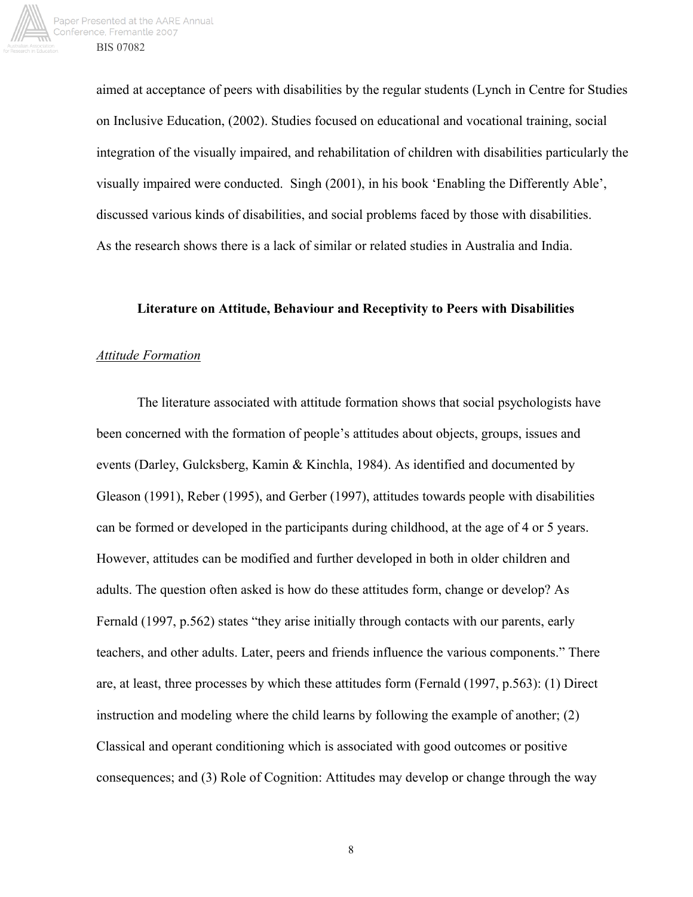

aimed at acceptance of peers with disabilities by the regular students (Lynch in Centre for Studies on Inclusive Education, (2002). Studies focused on educational and vocational training, social integration of the visually impaired, and rehabilitation of children with disabilities particularly the visually impaired were conducted. Singh (2001), in his book 'Enabling the Differently Able', discussed various kinds of disabilities, and social problems faced by those with disabilities. As the research shows there is a lack of similar or related studies in Australia and India.

#### **Literature on Attitude, Behaviour and Receptivity to Peers with Disabilities**

#### *Attitude Formation*

The literature associated with attitude formation shows that social psychologists have been concerned with the formation of people's attitudes about objects, groups, issues and events (Darley, Gulcksberg, Kamin & Kinchla, 1984). As identified and documented by Gleason (1991), Reber (1995), and Gerber (1997), attitudes towards people with disabilities can be formed or developed in the participants during childhood, at the age of 4 or 5 years. However, attitudes can be modified and further developed in both in older children and adults. The question often asked is how do these attitudes form, change or develop? As Fernald (1997, p.562) states "they arise initially through contacts with our parents, early teachers, and other adults. Later, peers and friends influence the various components." There are, at least, three processes by which these attitudes form (Fernald (1997, p.563): (1) Direct instruction and modeling where the child learns by following the example of another; (2) Classical and operant conditioning which is associated with good outcomes or positive consequences; and (3) Role of Cognition: Attitudes may develop or change through the way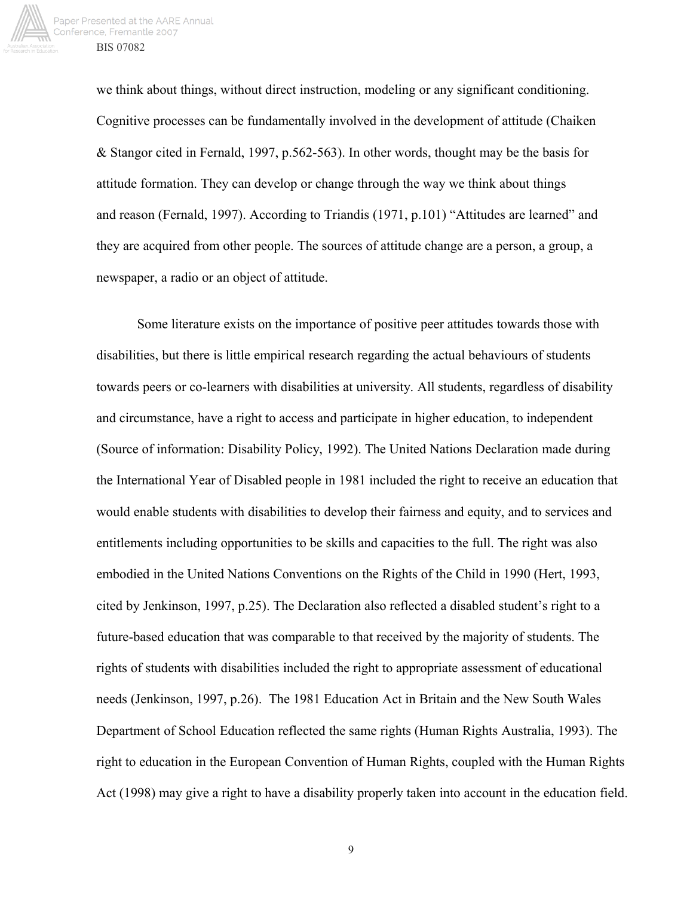

we think about things, without direct instruction, modeling or any significant conditioning. Cognitive processes can be fundamentally involved in the development of attitude (Chaiken & Stangor cited in Fernald, 1997, p.562-563). In other words, thought may be the basis for attitude formation. They can develop or change through the way we think about things and reason (Fernald, 1997). According to Triandis (1971, p.101) "Attitudes are learned" and they are acquired from other people. The sources of attitude change are a person, a group, a newspaper, a radio or an object of attitude.

 Some literature exists on the importance of positive peer attitudes towards those with disabilities, but there is little empirical research regarding the actual behaviours of students towards peers or co-learners with disabilities at university. All students, regardless of disability and circumstance, have a right to access and participate in higher education, to independent (Source of information: Disability Policy, 1992). The United Nations Declaration made during the International Year of Disabled people in 1981 included the right to receive an education that would enable students with disabilities to develop their fairness and equity, and to services and entitlements including opportunities to be skills and capacities to the full. The right was also embodied in the United Nations Conventions on the Rights of the Child in 1990 (Hert, 1993, cited by Jenkinson, 1997, p.25). The Declaration also reflected a disabled student's right to a future-based education that was comparable to that received by the majority of students. The rights of students with disabilities included the right to appropriate assessment of educational needs (Jenkinson, 1997, p.26). The 1981 Education Act in Britain and the New South Wales Department of School Education reflected the same rights (Human Rights Australia, 1993). The right to education in the European Convention of Human Rights, coupled with the Human Rights Act (1998) may give a right to have a disability properly taken into account in the education field.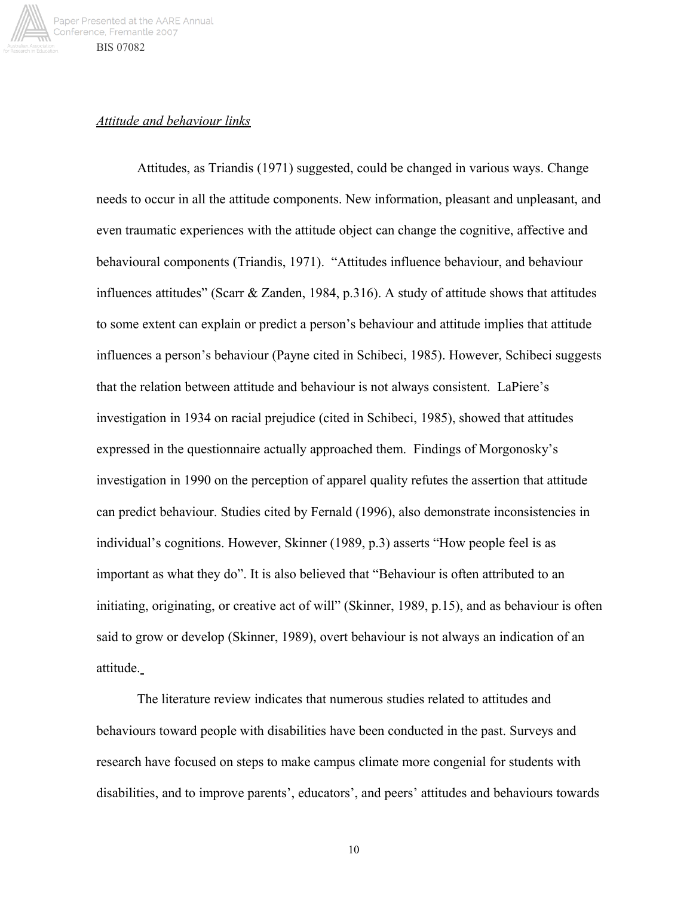

## *Attitude and behaviour links*

Attitudes, as Triandis (1971) suggested, could be changed in various ways. Change needs to occur in all the attitude components. New information, pleasant and unpleasant, and even traumatic experiences with the attitude object can change the cognitive, affective and behavioural components (Triandis, 1971). "Attitudes influence behaviour, and behaviour influences attitudes" (Scarr & Zanden, 1984, p.316). A study of attitude shows that attitudes to some extent can explain or predict a person's behaviour and attitude implies that attitude influences a person's behaviour (Payne cited in Schibeci, 1985). However, Schibeci suggests that the relation between attitude and behaviour is not always consistent. LaPiere's investigation in 1934 on racial prejudice (cited in Schibeci, 1985), showed that attitudes expressed in the questionnaire actually approached them. Findings of Morgonosky's investigation in 1990 on the perception of apparel quality refutes the assertion that attitude can predict behaviour. Studies cited by Fernald (1996), also demonstrate inconsistencies in individual's cognitions. However, Skinner (1989, p.3) asserts "How people feel is as important as what they do". It is also believed that "Behaviour is often attributed to an initiating, originating, or creative act of will" (Skinner, 1989, p.15), and as behaviour is often said to grow or develop (Skinner, 1989), overt behaviour is not always an indication of an attitude.

The literature review indicates that numerous studies related to attitudes and behaviours toward people with disabilities have been conducted in the past. Surveys and research have focused on steps to make campus climate more congenial for students with disabilities, and to improve parents', educators', and peers' attitudes and behaviours towards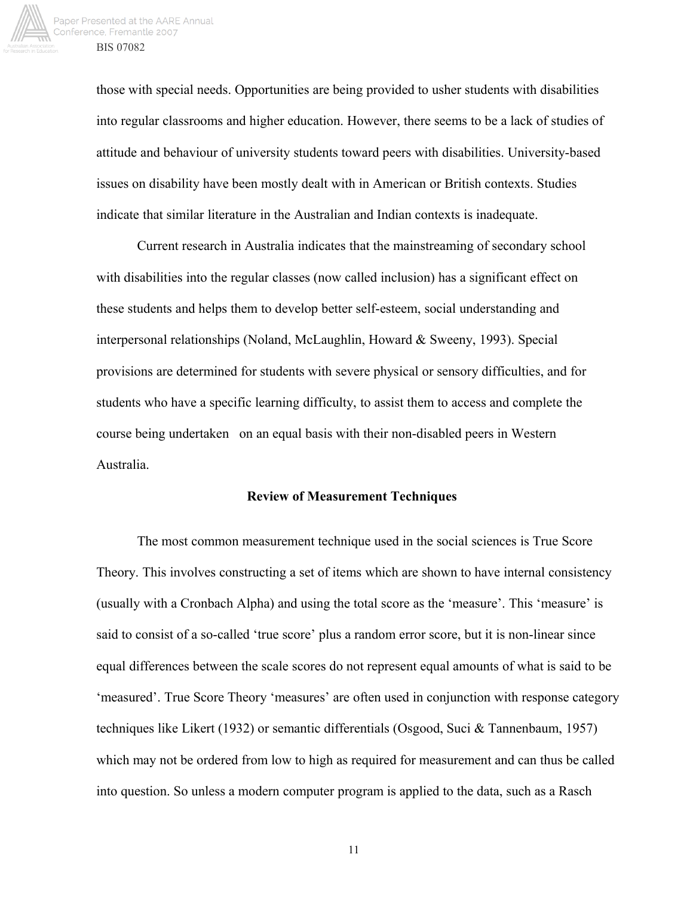

those with special needs. Opportunities are being provided to usher students with disabilities into regular classrooms and higher education. However, there seems to be a lack of studies of attitude and behaviour of university students toward peers with disabilities. University-based issues on disability have been mostly dealt with in American or British contexts. Studies indicate that similar literature in the Australian and Indian contexts is inadequate.

Current research in Australia indicates that the mainstreaming of secondary school with disabilities into the regular classes (now called inclusion) has a significant effect on these students and helps them to develop better self-esteem, social understanding and interpersonal relationships (Noland, McLaughlin, Howard & Sweeny, 1993). Special provisions are determined for students with severe physical or sensory difficulties, and for students who have a specific learning difficulty, to assist them to access and complete the course being undertaken on an equal basis with their non-disabled peers in Western Australia.

#### **Review of Measurement Techniques**

The most common measurement technique used in the social sciences is True Score Theory. This involves constructing a set of items which are shown to have internal consistency (usually with a Cronbach Alpha) and using the total score as the 'measure'. This 'measure' is said to consist of a so-called 'true score' plus a random error score, but it is non-linear since equal differences between the scale scores do not represent equal amounts of what is said to be 'measured'. True Score Theory 'measures' are often used in conjunction with response category techniques like Likert (1932) or semantic differentials (Osgood, Suci & Tannenbaum, 1957) which may not be ordered from low to high as required for measurement and can thus be called into question. So unless a modern computer program is applied to the data, such as a Rasch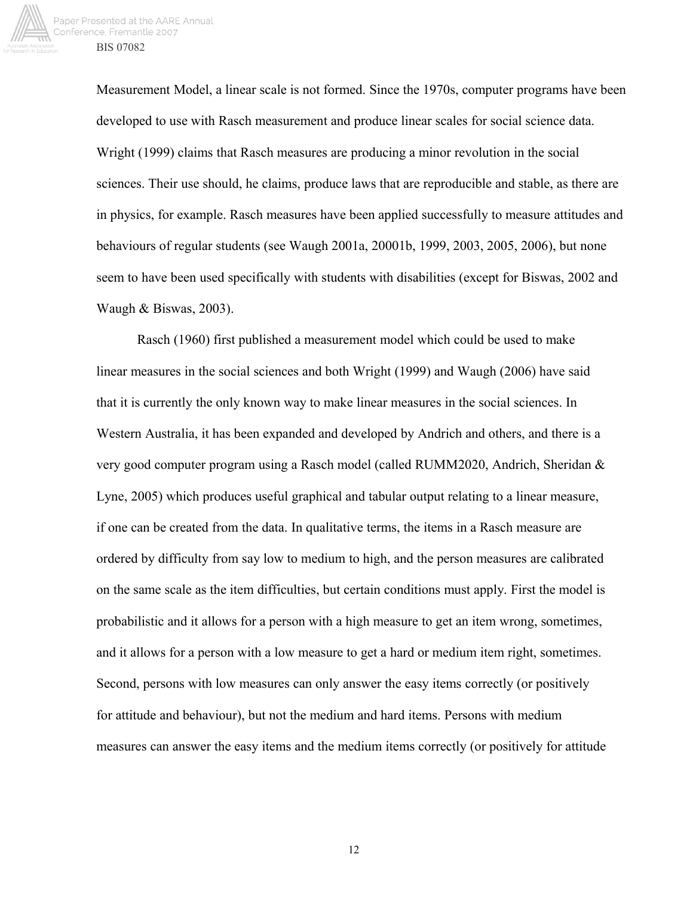

Measurement Model, a linear scale is not formed. Since the 1970s, computer programs have been developed to use with Rasch measurement and produce linear scales for social science data. Wright (1999) claims that Rasch measures are producing a minor revolution in the social sciences. Their use should, he claims, produce laws that are reproducible and stable, as there are in physics, for example. Rasch measures have been applied successfully to measure attitudes and behaviours of regular students (see Waugh 2001a, 20001b, 1999, 2003, 2005, 2006), but none seem to have been used specifically with students with disabilities (except for Biswas, 2002 and Waugh & Biswas, 2003).

Rasch (1960) first published a measurement model which could be used to make linear measures in the social sciences and both Wright (1999) and Waugh (2006) have said that it is currently the only known way to make linear measures in the social sciences. In Western Australia, it has been expanded and developed by Andrich and others, and there is a very good computer program using a Rasch model (called RUMM2020, Andrich, Sheridan & Lyne, 2005) which produces useful graphical and tabular output relating to a linear measure, if one can be created from the data. In qualitative terms, the items in a Rasch measure are ordered by difficulty from say low to medium to high, and the person measures are calibrated on the same scale as the item difficulties, but certain conditions must apply. First the model is probabilistic and it allows for a person with a high measure to get an item wrong, sometimes, and it allows for a person with a low measure to get a hard or medium item right, sometimes. Second, persons with low measures can only answer the easy items correctly (or positively for attitude and behaviour), but not the medium and hard items. Persons with medium measures can answer the easy items and the medium items correctly (or positively for attitude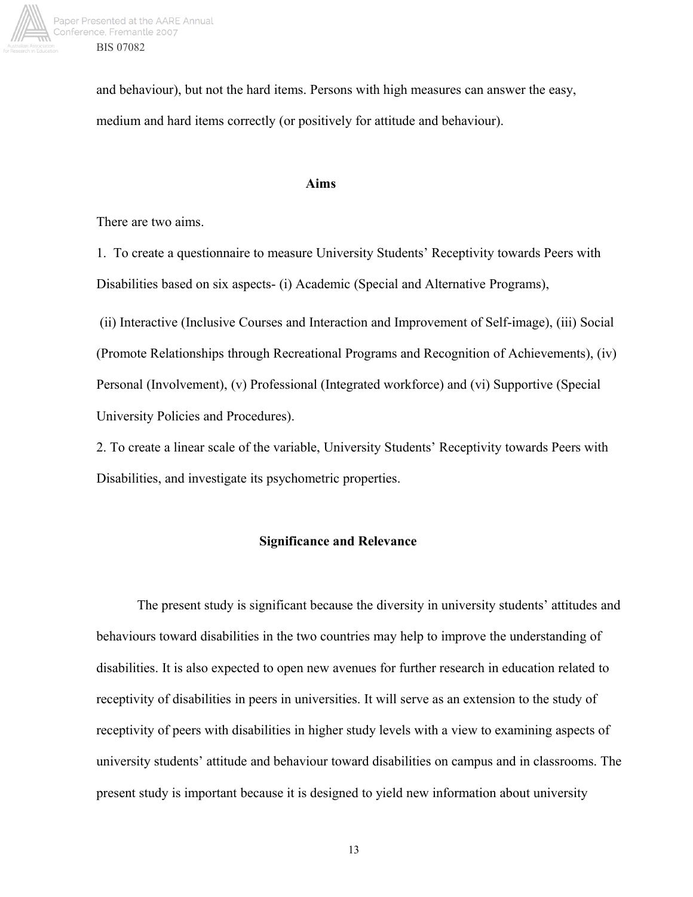

and behaviour), but not the hard items. Persons with high measures can answer the easy, medium and hard items correctly (or positively for attitude and behaviour).

#### **Aims**

There are two aims.

1. To create a questionnaire to measure University Students' Receptivity towards Peers with Disabilities based on six aspects- (i) Academic (Special and Alternative Programs),

 (ii) Interactive (Inclusive Courses and Interaction and Improvement of Self-image), (iii) Social (Promote Relationships through Recreational Programs and Recognition of Achievements), (iv) Personal (Involvement), (v) Professional (Integrated workforce) and (vi) Supportive (Special University Policies and Procedures).

2. To create a linear scale of the variable, University Students' Receptivity towards Peers with Disabilities, and investigate its psychometric properties.

## **Significance and Relevance**

The present study is significant because the diversity in university students' attitudes and behaviours toward disabilities in the two countries may help to improve the understanding of disabilities. It is also expected to open new avenues for further research in education related to receptivity of disabilities in peers in universities. It will serve as an extension to the study of receptivity of peers with disabilities in higher study levels with a view to examining aspects of university students' attitude and behaviour toward disabilities on campus and in classrooms. The present study is important because it is designed to yield new information about university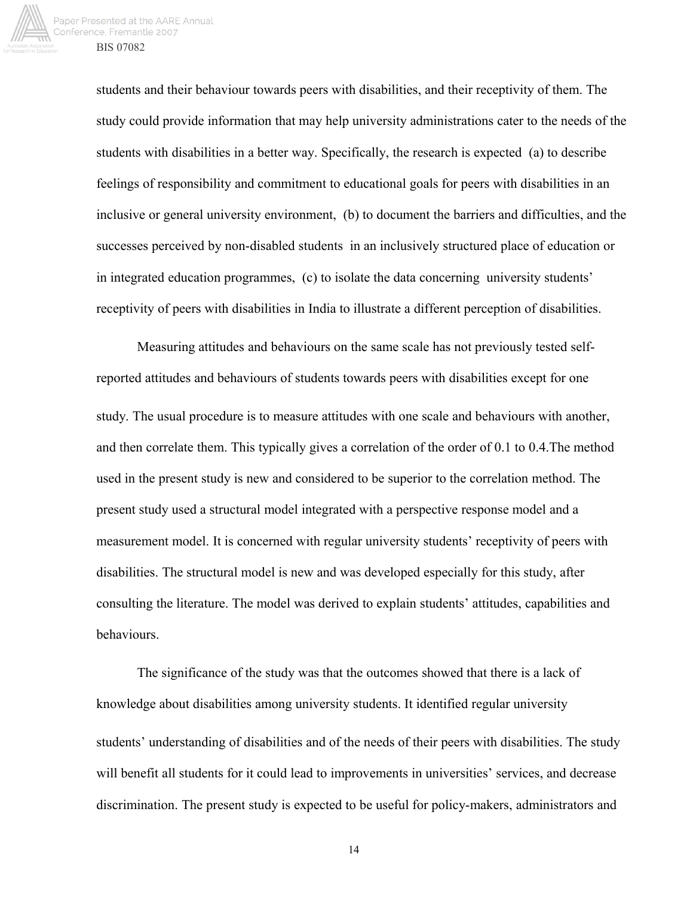

students and their behaviour towards peers with disabilities, and their receptivity of them. The study could provide information that may help university administrations cater to the needs of the students with disabilities in a better way. Specifically, the research is expected (a) to describe feelings of responsibility and commitment to educational goals for peers with disabilities in an inclusive or general university environment, (b) to document the barriers and difficulties, and the successes perceived by non-disabled students in an inclusively structured place of education or in integrated education programmes, (c) to isolate the data concerning university students' receptivity of peers with disabilities in India to illustrate a different perception of disabilities.

Measuring attitudes and behaviours on the same scale has not previously tested selfreported attitudes and behaviours of students towards peers with disabilities except for one study. The usual procedure is to measure attitudes with one scale and behaviours with another, and then correlate them. This typically gives a correlation of the order of 0.1 to 0.4.The method used in the present study is new and considered to be superior to the correlation method. The present study used a structural model integrated with a perspective response model and a measurement model. It is concerned with regular university students' receptivity of peers with disabilities. The structural model is new and was developed especially for this study, after consulting the literature. The model was derived to explain students' attitudes, capabilities and behaviours.

The significance of the study was that the outcomes showed that there is a lack of knowledge about disabilities among university students. It identified regular university students' understanding of disabilities and of the needs of their peers with disabilities. The study will benefit all students for it could lead to improvements in universities' services, and decrease discrimination. The present study is expected to be useful for policy-makers, administrators and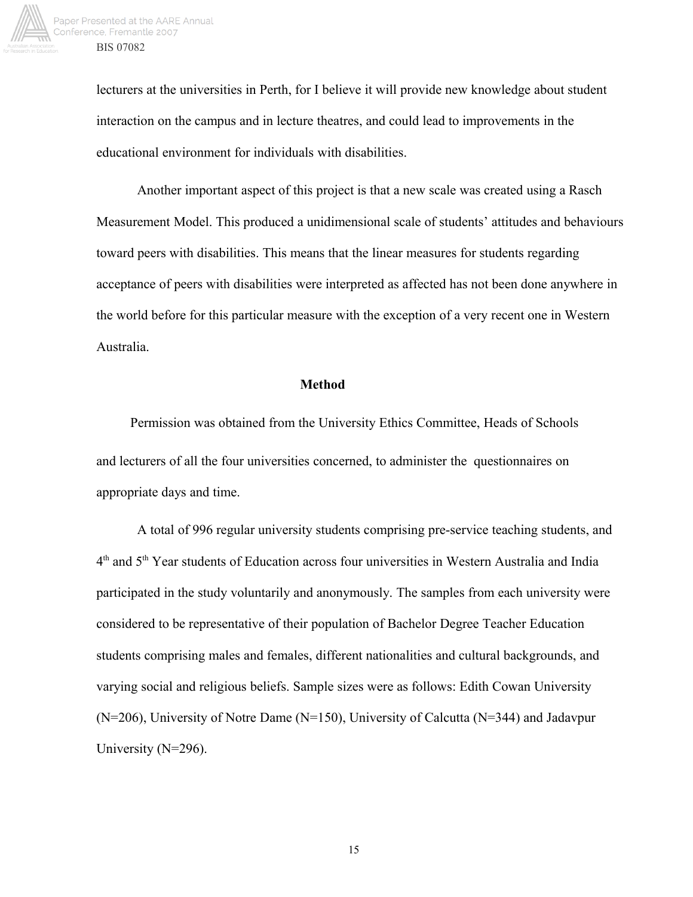

lecturers at the universities in Perth, for I believe it will provide new knowledge about student interaction on the campus and in lecture theatres, and could lead to improvements in the educational environment for individuals with disabilities.

Another important aspect of this project is that a new scale was created using a Rasch Measurement Model. This produced a unidimensional scale of students' attitudes and behaviours toward peers with disabilities. This means that the linear measures for students regarding acceptance of peers with disabilities were interpreted as affected has not been done anywhere in the world before for this particular measure with the exception of a very recent one in Western Australia.

#### **Method**

Permission was obtained from the University Ethics Committee, Heads of Schools and lecturers of all the four universities concerned, to administer the questionnaires on appropriate days and time.

A total of 996 regular university students comprising pre-service teaching students, and 4th and 5th Year students of Education across four universities in Western Australia and India participated in the study voluntarily and anonymously. The samples from each university were considered to be representative of their population of Bachelor Degree Teacher Education students comprising males and females, different nationalities and cultural backgrounds, and varying social and religious beliefs. Sample sizes were as follows: Edith Cowan University (N=206), University of Notre Dame (N=150), University of Calcutta (N=344) and Jadavpur University (N=296).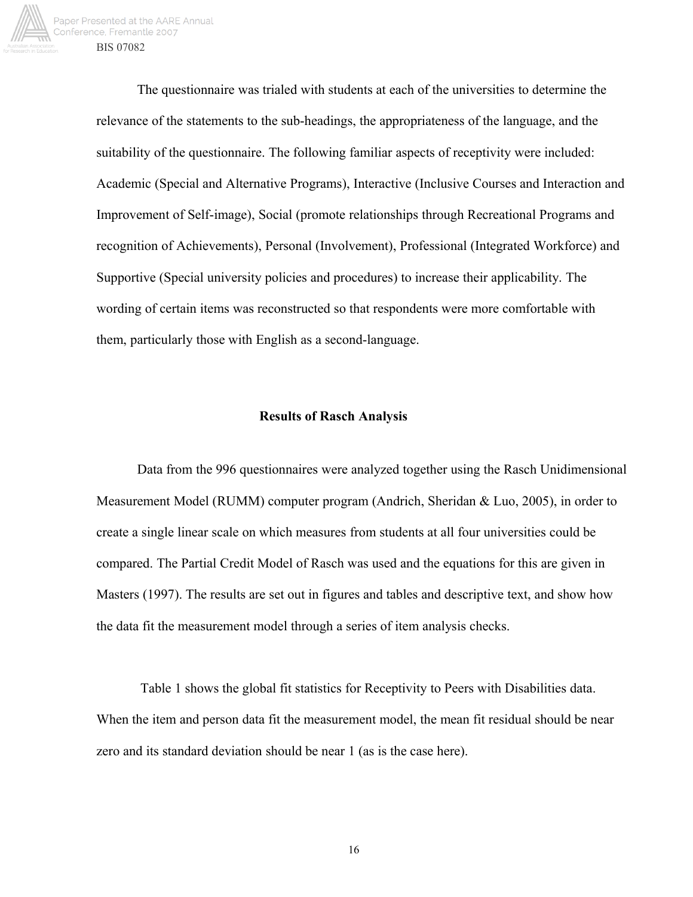

The questionnaire was trialed with students at each of the universities to determine the relevance of the statements to the sub-headings, the appropriateness of the language, and the suitability of the questionnaire. The following familiar aspects of receptivity were included: Academic (Special and Alternative Programs), Interactive (Inclusive Courses and Interaction and Improvement of Self-image), Social (promote relationships through Recreational Programs and recognition of Achievements), Personal (Involvement), Professional (Integrated Workforce) and Supportive (Special university policies and procedures) to increase their applicability. The wording of certain items was reconstructed so that respondents were more comfortable with them, particularly those with English as a second-language.

#### **Results of Rasch Analysis**

Data from the 996 questionnaires were analyzed together using the Rasch Unidimensional Measurement Model (RUMM) computer program (Andrich, Sheridan & Luo, 2005), in order to create a single linear scale on which measures from students at all four universities could be compared. The Partial Credit Model of Rasch was used and the equations for this are given in Masters (1997). The results are set out in figures and tables and descriptive text, and show how the data fit the measurement model through a series of item analysis checks.

 Table 1 shows the global fit statistics for Receptivity to Peers with Disabilities data. When the item and person data fit the measurement model, the mean fit residual should be near zero and its standard deviation should be near 1 (as is the case here).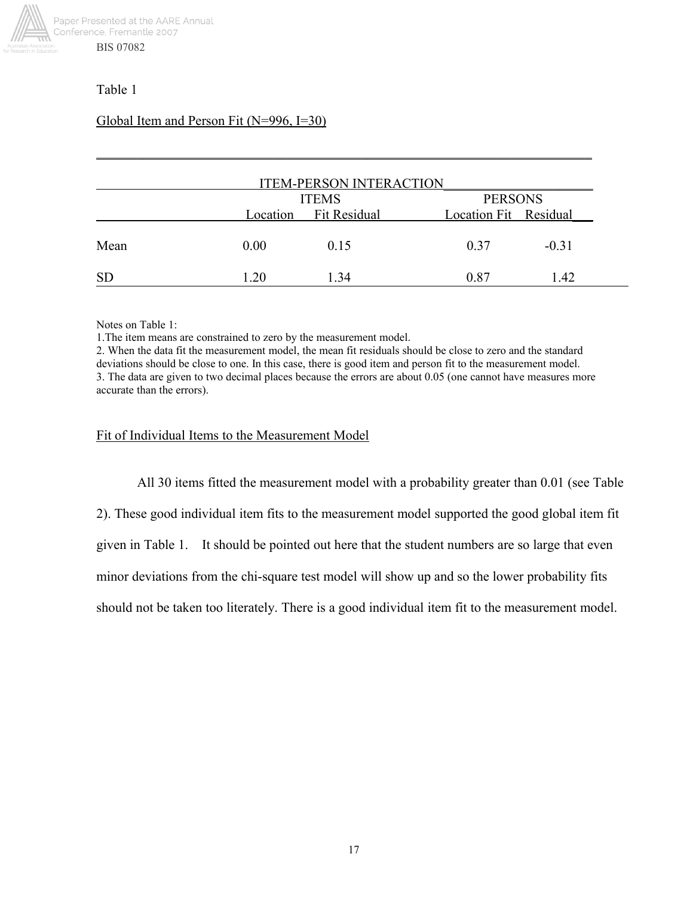

# Table 1

# Global Item and Person Fit (N=996, I=30)

| <b>ITEM-PERSON INTERACTION</b> |      |                                       |                                         |         |  |
|--------------------------------|------|---------------------------------------|-----------------------------------------|---------|--|
|                                |      | <b>ITEMS</b><br>Location Fit Residual | <b>PERSONS</b><br>Location Fit Residual |         |  |
| Mean                           | 0.00 | 0.15                                  | 0.37                                    | $-0.31$ |  |
| <b>SD</b>                      | 1.20 | 1.34                                  | 0.87                                    | 1.42    |  |

\_\_\_\_\_\_\_\_\_\_\_\_\_\_\_\_\_\_\_\_\_\_\_\_\_\_\_\_\_\_\_\_\_\_\_\_\_\_\_\_\_\_\_\_\_\_\_\_\_\_\_\_\_\_\_\_\_\_\_\_\_\_\_\_\_\_\_\_\_\_\_\_\_

Notes on Table 1:

1.The item means are constrained to zero by the measurement model.

2. When the data fit the measurement model, the mean fit residuals should be close to zero and the standard deviations should be close to one. In this case, there is good item and person fit to the measurement model. 3. The data are given to two decimal places because the errors are about 0.05 (one cannot have measures more accurate than the errors).

## Fit of Individual Items to the Measurement Model

All 30 items fitted the measurement model with a probability greater than 0.01 (see Table

2). These good individual item fits to the measurement model supported the good global item fit

given in Table 1. It should be pointed out here that the student numbers are so large that even

minor deviations from the chi-square test model will show up and so the lower probability fits

should not be taken too literately. There is a good individual item fit to the measurement model.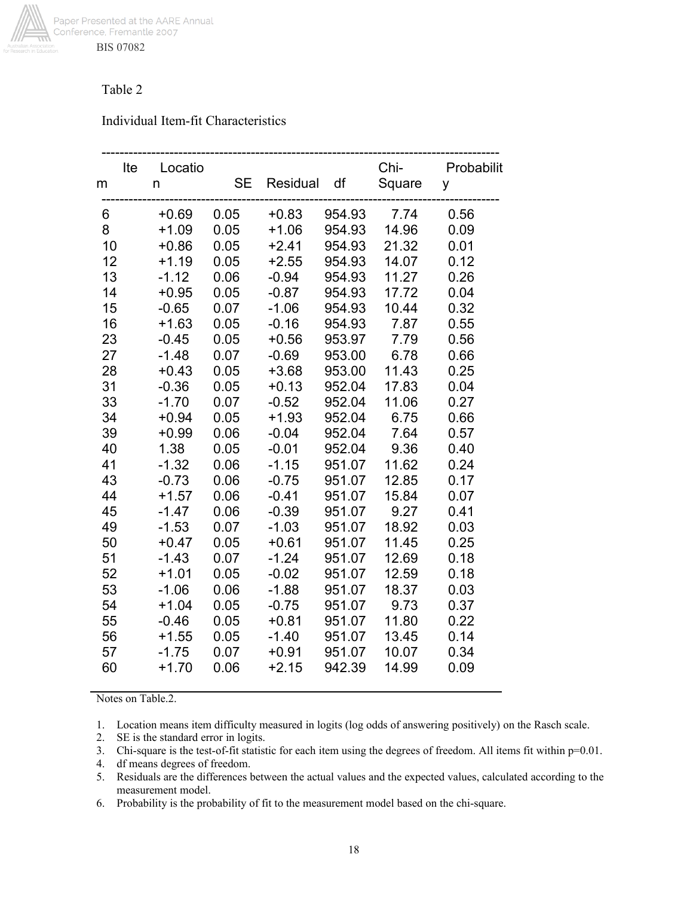

# Table 2

## Individual Item-fit Characteristics

| m        | Ite | Locatio<br>n       | <b>SE</b>    | Residual           | df               | Chi-<br>Square | Probabilit<br>у |
|----------|-----|--------------------|--------------|--------------------|------------------|----------------|-----------------|
| 6        |     | $+0.69$            | 0.05         | $+0.83$            | 954.93           | 7.74           | 0.56            |
| 8        |     | $+1.09$            | 0.05         | $+1.06$            | 954.93           | 14.96          | 0.09            |
| 10       |     | $+0.86$            | 0.05         | $+2.41$            | 954.93           | 21.32          | 0.01            |
| 12       |     | $+1.19$            | 0.05         | $+2.55$            | 954.93           | 14.07          | 0.12            |
| 13       |     | $-1.12$            | 0.06         | $-0.94$            | 954.93           | 11.27          | 0.26            |
| 14       |     | $+0.95$            | 0.05         | $-0.87$            | 954.93           | 17.72          | 0.04            |
| 15       |     | $-0.65$            | 0.07         | $-1.06$            | 954.93           | 10.44          | 0.32            |
| 16       |     | $+1.63$            | 0.05         | $-0.16$            | 954.93           | 7.87           | 0.55            |
| 23       |     | $-0.45$            | 0.05         | $+0.56$            | 953.97           | 7.79           | 0.56            |
| 27       |     | $-1.48$            | 0.07         | $-0.69$            | 953.00           | 6.78           | 0.66            |
| 28       |     | $+0.43$            | 0.05         | $+3.68$            | 953.00           | 11.43          | 0.25            |
| 31       |     | $-0.36$            | 0.05         | $+0.13$            | 952.04           | 17.83          | 0.04            |
| 33<br>34 |     | $-1.70$            | 0.07         | $-0.52$            | 952.04           | 11.06          | 0.27            |
|          |     | $+0.94$<br>$+0.99$ | 0.05         | $+1.93$<br>$-0.04$ | 952.04<br>952.04 | 6.75<br>7.64   | 0.66<br>0.57    |
| 39<br>40 |     | 1.38               | 0.06<br>0.05 | $-0.01$            | 952.04           | 9.36           | 0.40            |
| 41       |     | $-1.32$            | 0.06         | $-1.15$            | 951.07           | 11.62          | 0.24            |
| 43       |     | $-0.73$            | 0.06         | $-0.75$            | 951.07           | 12.85          | 0.17            |
| 44       |     | $+1.57$            | 0.06         | $-0.41$            | 951.07           | 15.84          | 0.07            |
| 45       |     | $-1.47$            | 0.06         | $-0.39$            | 951.07           | 9.27           | 0.41            |
| 49       |     | $-1.53$            | 0.07         | $-1.03$            | 951.07           | 18.92          | 0.03            |
| 50       |     | $+0.47$            | 0.05         | $+0.61$            | 951.07           | 11.45          | 0.25            |
| 51       |     | $-1.43$            | 0.07         | $-1.24$            | 951.07           | 12.69          | 0.18            |
| 52       |     | $+1.01$            | 0.05         | $-0.02$            | 951.07           | 12.59          | 0.18            |
| 53       |     | $-1.06$            | 0.06         | $-1.88$            | 951.07           | 18.37          | 0.03            |
| 54       |     | $+1.04$            | 0.05         | $-0.75$            | 951.07           | 9.73           | 0.37            |
| 55       |     | $-0.46$            | 0.05         | $+0.81$            | 951.07           | 11.80          | 0.22            |
| 56       |     | $+1.55$            | 0.05         | $-1.40$            | 951.07           | 13.45          | 0.14            |
| 57       |     | $-1.75$            | 0.07         | $+0.91$            | 951.07           | 10.07          | 0.34            |
| 60       |     | $+1.70$            | 0.06         | $+2.15$            | 942.39           | 14.99          | 0.09            |

Notes on Table.2.

1. Location means item difficulty measured in logits (log odds of answering positively) on the Rasch scale.

2. SE is the standard error in logits.

3. Chi-square is the test-of-fit statistic for each item using the degrees of freedom. All items fit within p=0.01.

- 4. df means degrees of freedom.
- 5. Residuals are the differences between the actual values and the expected values, calculated according to the measurement model.
- 6. Probability is the probability of fit to the measurement model based on the chi-square.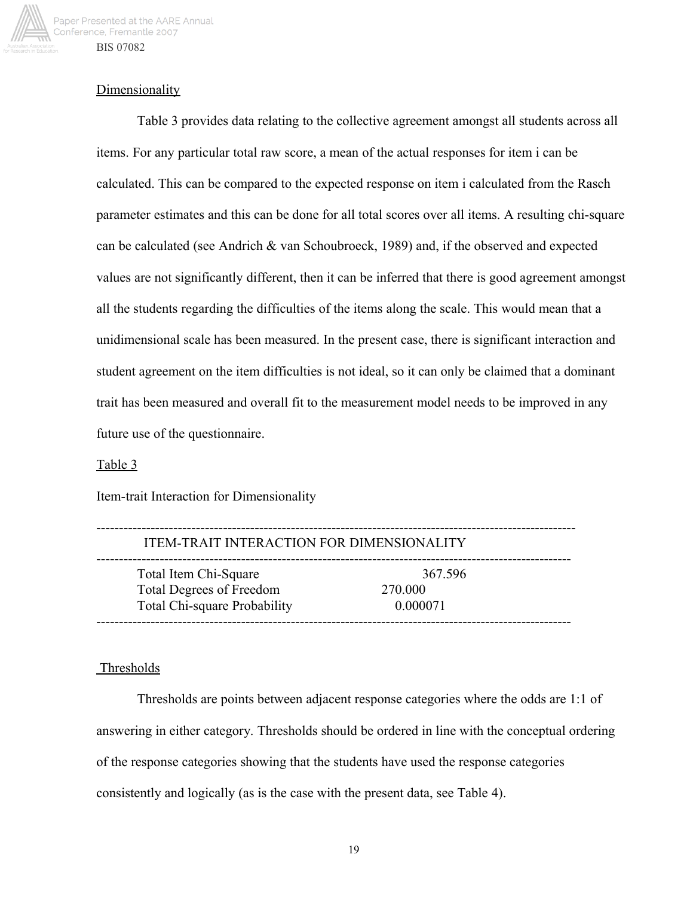

## **Dimensionality**

Table 3 provides data relating to the collective agreement amongst all students across all items. For any particular total raw score, a mean of the actual responses for item i can be calculated. This can be compared to the expected response on item i calculated from the Rasch parameter estimates and this can be done for all total scores over all items. A resulting chi-square can be calculated (see Andrich & van Schoubroeck, 1989) and, if the observed and expected values are not significantly different, then it can be inferred that there is good agreement amongst all the students regarding the difficulties of the items along the scale. This would mean that a unidimensional scale has been measured. In the present case, there is significant interaction and student agreement on the item difficulties is not ideal, so it can only be claimed that a dominant trait has been measured and overall fit to the measurement model needs to be improved in any future use of the questionnaire.

### Table 3

Item-trait Interaction for Dimensionality

| ITEM-TRAIT INTERACTION FOR DIMENSIONALITY                                                |                                |  |  |
|------------------------------------------------------------------------------------------|--------------------------------|--|--|
| Total Item Chi-Square<br><b>Total Degrees of Freedom</b><br>Total Chi-square Probability | 367.596<br>270.000<br>0.000071 |  |  |

#### Thresholds

Thresholds are points between adjacent response categories where the odds are 1:1 of answering in either category. Thresholds should be ordered in line with the conceptual ordering of the response categories showing that the students have used the response categories consistently and logically (as is the case with the present data, see Table 4).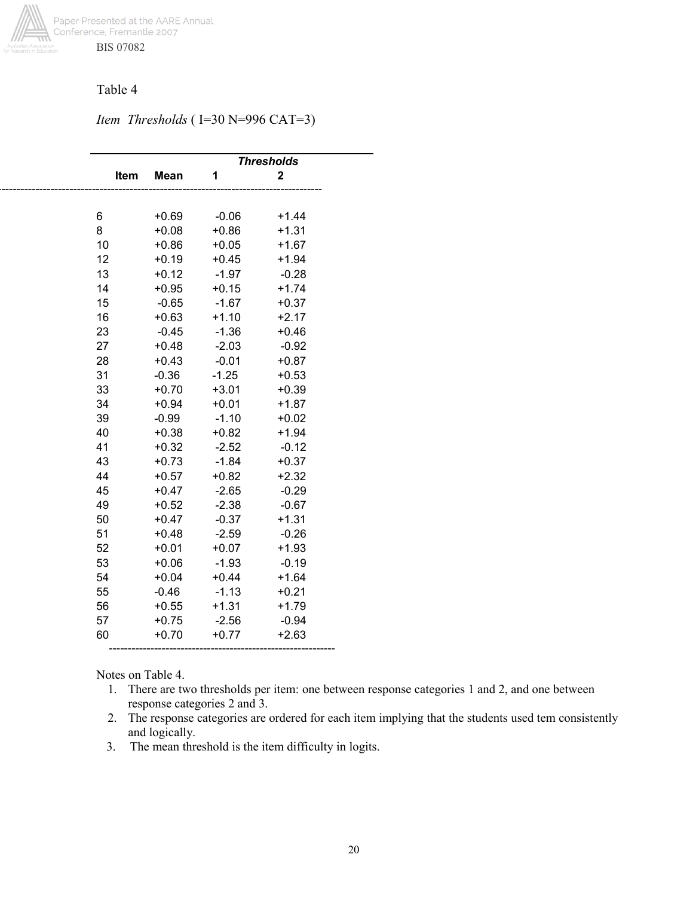

## Table 4

*Item Thresholds* (I=30 N=996 CAT=3)

|      |             |         | <b>Thresholds</b> |  |
|------|-------------|---------|-------------------|--|
| Item | <b>Mean</b> | 1       | $\mathbf 2$       |  |
|      |             |         |                   |  |
|      |             |         |                   |  |
| 6    | $+0.69$     | $-0.06$ | $+1.44$           |  |
| 8    | $+0.08$     | $+0.86$ | $+1.31$           |  |
| 10   | $+0.86$     | $+0.05$ | $+1.67$           |  |
| 12   | $+0.19$     | $+0.45$ | $+1.94$           |  |
| 13   | $+0.12$     | $-1.97$ | $-0.28$           |  |
| 14   | $+0.95$     | $+0.15$ | $+1.74$           |  |
| 15   | $-0.65$     | $-1.67$ | $+0.37$           |  |
| 16   | $+0.63$     | $+1.10$ | $+2.17$           |  |
| 23   | $-0.45$     | $-1.36$ | $+0.46$           |  |
| 27   | $+0.48$     | $-2.03$ | $-0.92$           |  |
| 28   | $+0.43$     | $-0.01$ | $+0.87$           |  |
| 31   | $-0.36$     | $-1.25$ | $+0.53$           |  |
| 33   | $+0.70$     | $+3.01$ | $+0.39$           |  |
| 34   | $+0.94$     | $+0.01$ | $+1.87$           |  |
| 39   | $-0.99$     | $-1.10$ | $+0.02$           |  |
| 40   | $+0.38$     | $+0.82$ | $+1.94$           |  |
| 41   | $+0.32$     | $-2.52$ | $-0.12$           |  |
| 43   | $+0.73$     | $-1.84$ | $+0.37$           |  |
| 44   | $+0.57$     | $+0.82$ | $+2.32$           |  |
| 45   | $+0.47$     | $-2.65$ | $-0.29$           |  |
| 49   | $+0.52$     | $-2.38$ | $-0.67$           |  |
| 50   | $+0.47$     | $-0.37$ | $+1.31$           |  |
| 51   | $+0.48$     | $-2.59$ | $-0.26$           |  |
| 52   | $+0.01$     | $+0.07$ | $+1.93$           |  |
| 53   | $+0.06$     | $-1.93$ | $-0.19$           |  |
| 54   | $+0.04$     | $+0.44$ | $+1.64$           |  |
| 55   | $-0.46$     | $-1.13$ | $+0.21$           |  |
| 56   | $+0.55$     | $+1.31$ | $+1.79$           |  |
| 57   | $+0.75$     | $-2.56$ | $-0.94$           |  |
| 60   | $+0.70$     | $+0.77$ | $+2.63$           |  |
|      |             |         |                   |  |
|      |             |         |                   |  |

Notes on Table 4.

- 1. There are two thresholds per item: one between response categories 1 and 2, and one between response categories 2 and 3.
- 2. The response categories are ordered for each item implying that the students used tem consistently and logically.
- 3. The mean threshold is the item difficulty in logits.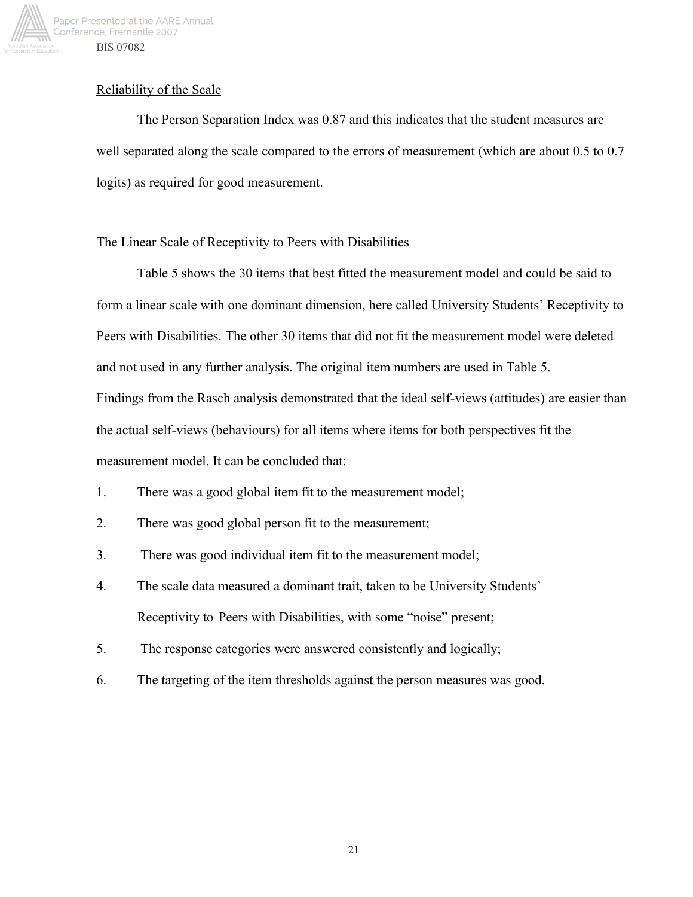

## Reliability of the Scale

The Person Separation Index was 0.87 and this indicates that the student measures are well separated along the scale compared to the errors of measurement (which are about 0.5 to 0.7 logits) as required for good measurement.

## The Linear Scale of Receptivity to Peers with Disabilities

Table 5 shows the 30 items that best fitted the measurement model and could be said to form a linear scale with one dominant dimension, here called University Students' Receptivity to Peers with Disabilities. The other 30 items that did not fit the measurement model were deleted and not used in any further analysis. The original item numbers are used in Table 5. Findings from the Rasch analysis demonstrated that the ideal self-views (attitudes) are easier than the actual self-views (behaviours) for all items where items for both perspectives fit the measurement model. It can be concluded that:

- 1. There was a good global item fit to the measurement model;
- 2. There was good global person fit to the measurement;
- 3. There was good individual item fit to the measurement model;
- 4. The scale data measured a dominant trait, taken to be University Students' Receptivity to Peers with Disabilities, with some "noise" present;
- 5. The response categories were answered consistently and logically;
- 6. The targeting of the item thresholds against the person measures was good.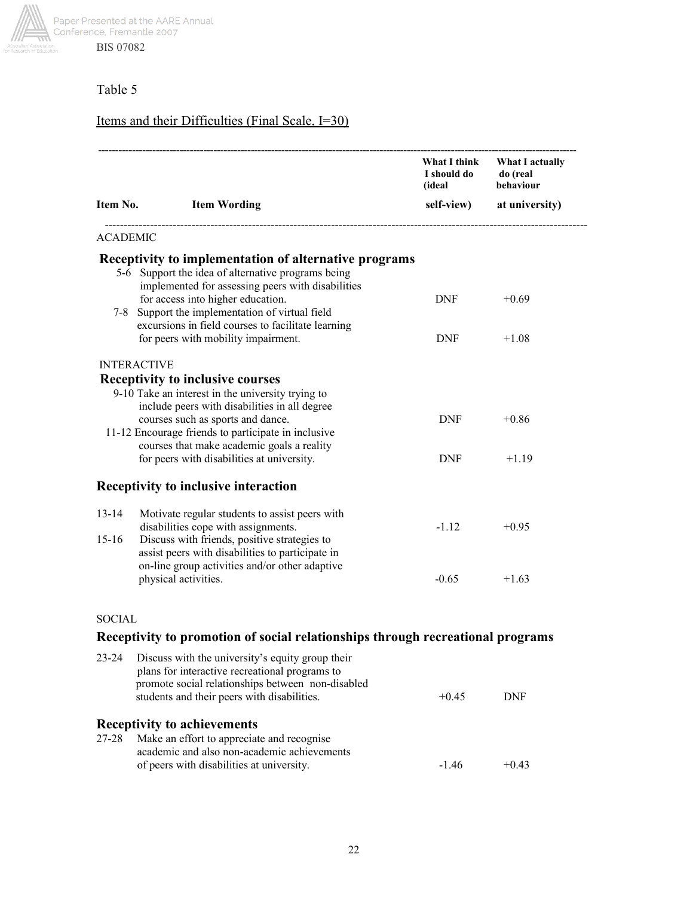

# Table 5

# Items and their Difficulties (Final Scale, I=30)

|                 |                                                                                                       | I should do do (real<br>(ideal behaviou<br>(ideal) | What I think What I actually<br>behaviour |
|-----------------|-------------------------------------------------------------------------------------------------------|----------------------------------------------------|-------------------------------------------|
|                 | Item No. Item Wording                                                                                 |                                                    | self-view) at university)                 |
| <b>ACADEMIC</b> |                                                                                                       |                                                    |                                           |
|                 | Receptivity to implementation of alternative programs                                                 |                                                    |                                           |
|                 | 5-6 Support the idea of alternative programs being                                                    |                                                    |                                           |
|                 | implemented for assessing peers with disabilities<br>for access into higher education.                | DNF                                                | $+0.69$                                   |
|                 | 7-8 Support the implementation of virtual field                                                       |                                                    |                                           |
|                 | excursions in field courses to facilitate learning                                                    |                                                    |                                           |
|                 | for peers with mobility impairment.                                                                   | <b>DNF</b>                                         | $+1.08$                                   |
|                 | <b>INTERACTIVE</b>                                                                                    |                                                    |                                           |
|                 | <b>Receptivity to inclusive courses</b>                                                               |                                                    |                                           |
|                 | 9-10 Take an interest in the university trying to                                                     |                                                    |                                           |
|                 | include peers with disabilities in all degree<br>courses such as sports and dance.                    | <b>DNF</b>                                         | $+0.86$                                   |
|                 | 11-12 Encourage friends to participate in inclusive                                                   |                                                    |                                           |
|                 | courses that make academic goals a reality                                                            |                                                    |                                           |
|                 | for peers with disabilities at university.                                                            | DNF                                                | $+1.19$                                   |
|                 | Receptivity to inclusive interaction                                                                  |                                                    |                                           |
| 13-14           | Motivate regular students to assist peers with                                                        |                                                    |                                           |
|                 | disabilities cope with assignments.                                                                   | $-1.12$                                            | $+0.95$                                   |
| $15 - 16$       | Discuss with friends, positive strategies to                                                          |                                                    |                                           |
|                 | assist peers with disabilities to participate in<br>on-line group activities and/or other adaptive    |                                                    |                                           |
|                 | physical activities.                                                                                  | $-0.65$                                            | $+1.63$                                   |
|                 |                                                                                                       |                                                    |                                           |
| <b>SOCIAL</b>   |                                                                                                       |                                                    |                                           |
|                 | Receptivity to promotion of social relationships through recreational programs                        |                                                    |                                           |
| 23-24           | Discuss with the university's equity group their                                                      |                                                    |                                           |
|                 | plans for interactive recreational programs to<br>nyamata social veletionskins hetween, non-disekled- |                                                    |                                           |

|       | promote social relationships between non-disabled<br>students and their peers with disabilities. | $+0.45$ | DNF     |
|-------|--------------------------------------------------------------------------------------------------|---------|---------|
|       | <b>Receptivity to achievements</b>                                                               |         |         |
| 27-28 | Make an effort to appreciate and recognise                                                       |         |         |
|       | academic and also non-academic achievements                                                      |         |         |
|       | of peers with disabilities at university.                                                        | $-146$  | $+0.43$ |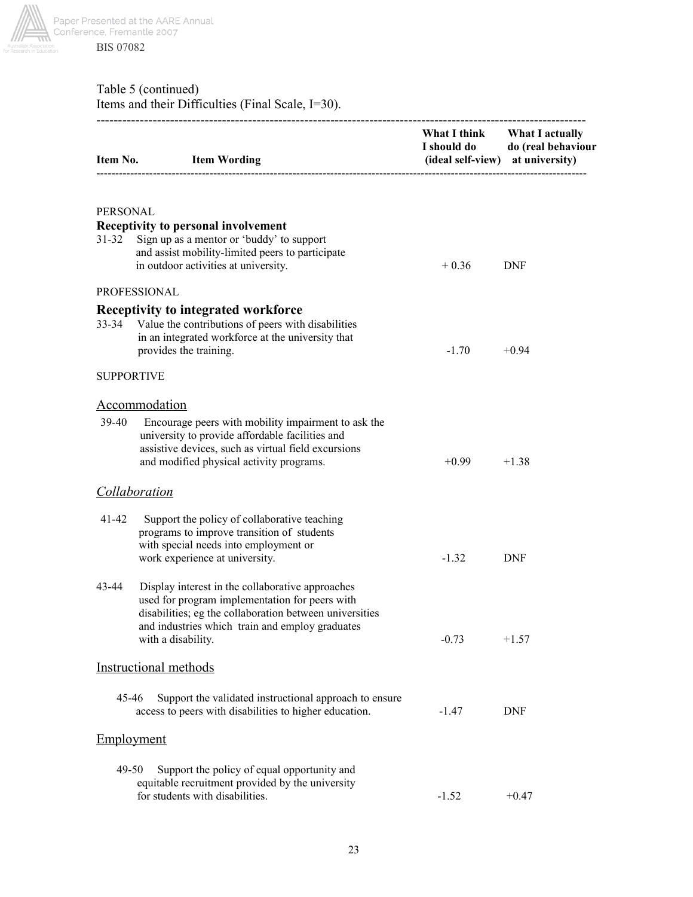

# Table 5 (continued) Items and their Difficulties (Final Scale, I=30).

|                   | Item No. Item Wording                                                                                                                                                                                                                  | I should do<br>(ideal self-view) at university) | What I think What I actually<br>do (real behaviour |
|-------------------|----------------------------------------------------------------------------------------------------------------------------------------------------------------------------------------------------------------------------------------|-------------------------------------------------|----------------------------------------------------|
| <b>PERSONAL</b>   |                                                                                                                                                                                                                                        |                                                 |                                                    |
| $31 - 32$         | <b>Receptivity to personal involvement</b><br>Sign up as a mentor or 'buddy' to support<br>and assist mobility-limited peers to participate<br>in outdoor activities at university.                                                    | $+0.36$                                         | <b>DNF</b>                                         |
|                   | PROFESSIONAL                                                                                                                                                                                                                           |                                                 |                                                    |
| $33 - 34$         | <b>Receptivity to integrated workforce</b><br>Value the contributions of peers with disabilities<br>in an integrated workforce at the university that<br>provides the training.                                                        | $-1.70$                                         | $+0.94$                                            |
| <b>SUPPORTIVE</b> |                                                                                                                                                                                                                                        |                                                 |                                                    |
|                   | Accommodation                                                                                                                                                                                                                          |                                                 |                                                    |
| 39-40             | Encourage peers with mobility impairment to ask the<br>university to provide affordable facilities and<br>assistive devices, such as virtual field excursions<br>and modified physical activity programs.                              | $+0.99$                                         | $+1.38$                                            |
|                   | <b>Collaboration</b>                                                                                                                                                                                                                   |                                                 |                                                    |
| 41-42             | Support the policy of collaborative teaching<br>programs to improve transition of students<br>with special needs into employment or<br>work experience at university.                                                                  | $-1.32$                                         | <b>DNF</b>                                         |
| 43-44             | Display interest in the collaborative approaches<br>used for program implementation for peers with<br>disabilities; eg the collaboration between universities<br>and industries which train and employ graduates<br>with a disability. | $-0.73$                                         | $+1.57$                                            |
|                   | <b>Instructional methods</b>                                                                                                                                                                                                           |                                                 |                                                    |
| 45-46             | Support the validated instructional approach to ensure<br>access to peers with disabilities to higher education.                                                                                                                       | $-1.47$                                         | <b>DNF</b>                                         |
| Employment        |                                                                                                                                                                                                                                        |                                                 |                                                    |
| 49-50             | Support the policy of equal opportunity and<br>equitable recruitment provided by the university<br>for students with disabilities.                                                                                                     | $-1.52$                                         | $+0.47$                                            |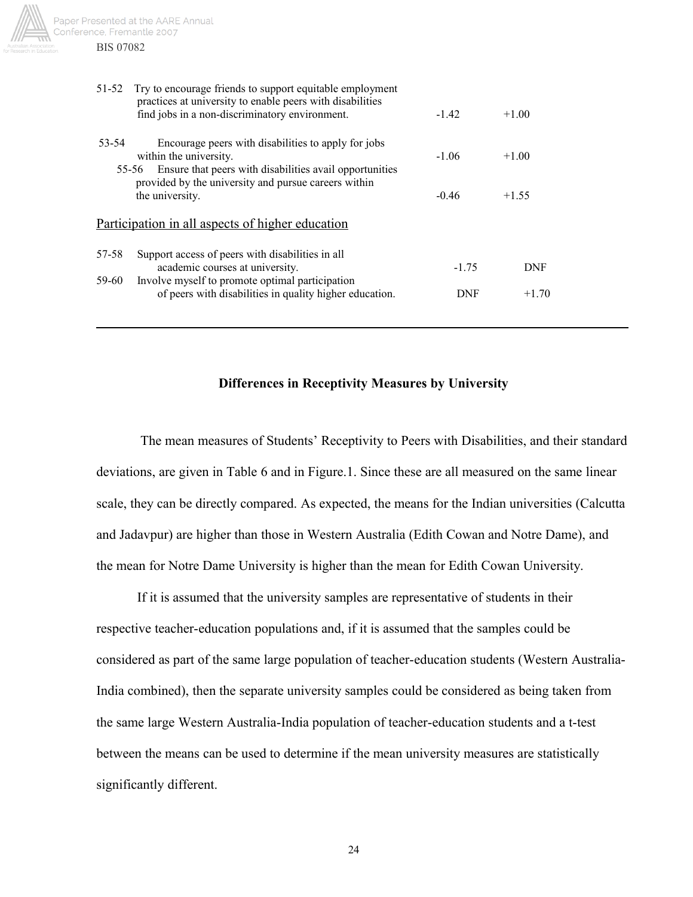

51-52 Try to encourage friends to support equitable employment practices at university to enable peers with disabilities find jobs in a non-discriminatory environment.  $-1.42 +1.00$  53-54 Encourage peers with disabilities to apply for jobs within the university.  $-1.06 +1.00$ 55-56 Ensure that peers with disabilities avail opportunities provided by the university and pursue careers within the university.  $-0.46 +1.55$ Participation in all aspects of higher education 57-58 Support access of peers with disabilities in all academic courses at university.  $-1.75$  DNF 59-60 Involve myself to promote optimal participation of peers with disabilities in quality higher education. DNF  $+1.70$ 

#### **Differences in Receptivity Measures by University**

 The mean measures of Students' Receptivity to Peers with Disabilities, and their standard deviations, are given in Table 6 and in Figure.1. Since these are all measured on the same linear scale, they can be directly compared. As expected, the means for the Indian universities (Calcutta and Jadavpur) are higher than those in Western Australia (Edith Cowan and Notre Dame), and the mean for Notre Dame University is higher than the mean for Edith Cowan University.

If it is assumed that the university samples are representative of students in their respective teacher-education populations and, if it is assumed that the samples could be considered as part of the same large population of teacher-education students (Western Australia-India combined), then the separate university samples could be considered as being taken from the same large Western Australia-India population of teacher-education students and a t-test between the means can be used to determine if the mean university measures are statistically significantly different.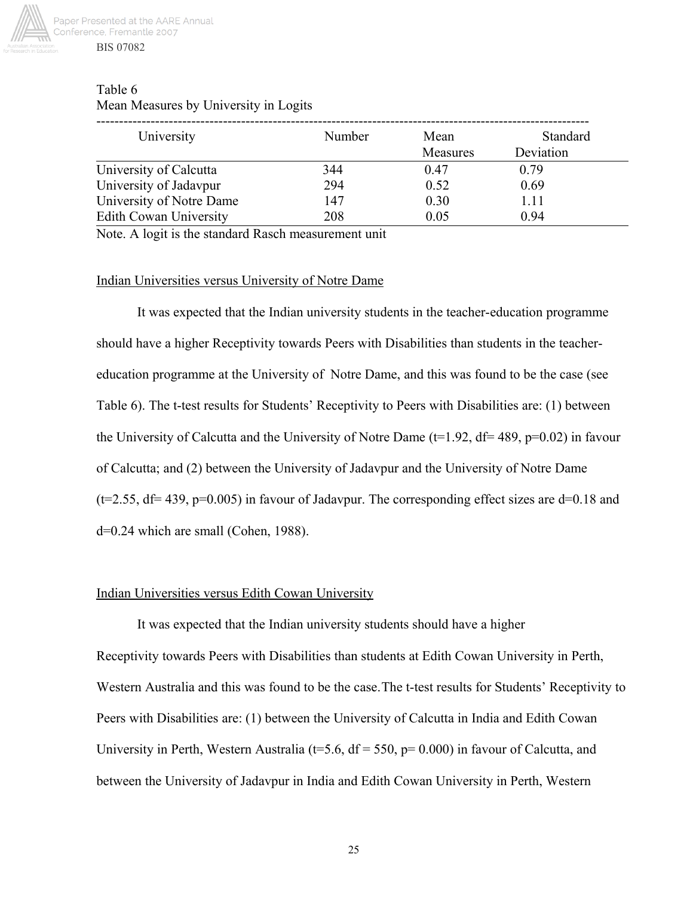

| Table 6                               |  |
|---------------------------------------|--|
| Mean Measures by University in Logits |  |

| University                    | Number | Mean<br>Measures | Standard<br>Deviation |
|-------------------------------|--------|------------------|-----------------------|
| University of Calcutta        | 344    | 0.47             | 0.79                  |
| University of Jadavpur        | 294    | 0.52             | 0.69                  |
| University of Notre Dame      | 147    | 0.30             | 1.11                  |
| <b>Edith Cowan University</b> | 208    | 0.05             | 0.94                  |

Note. A logit is the standard Rasch measurement unit

#### Indian Universities versus University of Notre Dame

It was expected that the Indian university students in the teacher-education programme should have a higher Receptivity towards Peers with Disabilities than students in the teachereducation programme at the University of Notre Dame, and this was found to be the case (see Table 6). The t-test results for Students' Receptivity to Peers with Disabilities are: (1) between the University of Calcutta and the University of Notre Dame ( $t=1.92$ ,  $df= 489$ ,  $p=0.02$ ) in favour of Calcutta; and (2) between the University of Jadavpur and the University of Notre Dame  $(t=2.55, df= 439, p=0.005)$  in favour of Jadavpur. The corresponding effect sizes are  $d=0.18$  and d=0.24 which are small (Cohen, 1988).

## Indian Universities versus Edith Cowan University

It was expected that the Indian university students should have a higher Receptivity towards Peers with Disabilities than students at Edith Cowan University in Perth, Western Australia and this was found to be the case.The t-test results for Students' Receptivity to Peers with Disabilities are: (1) between the University of Calcutta in India and Edith Cowan University in Perth, Western Australia ( $t=5.6$ ,  $df = 550$ ,  $p= 0.000$ ) in favour of Calcutta, and between the University of Jadavpur in India and Edith Cowan University in Perth, Western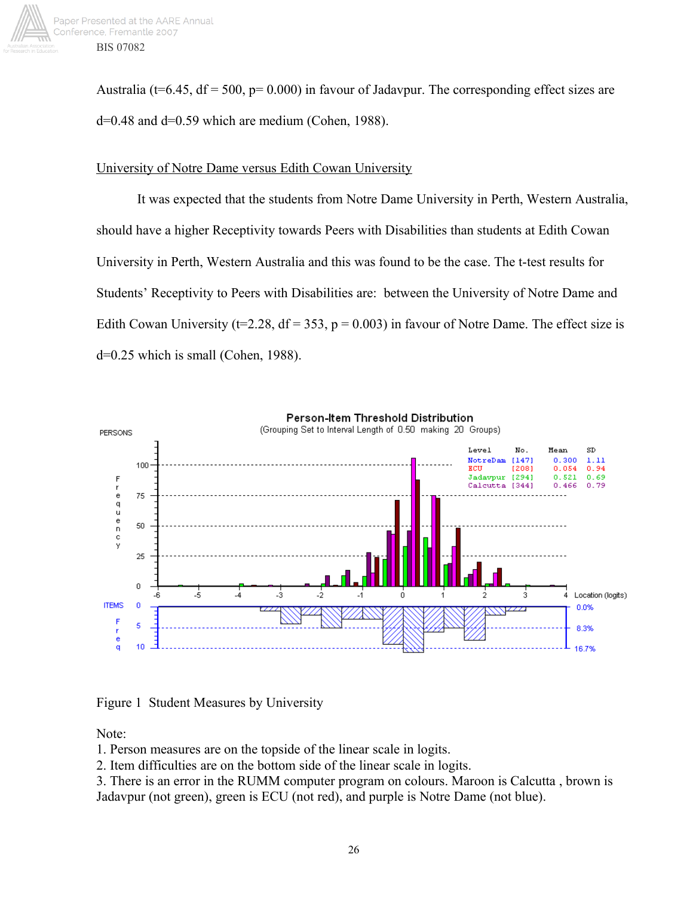

Australia (t=6.45,  $df = 500$ ,  $p = 0.000$ ) in favour of Jadavpur. The corresponding effect sizes are  $d=0.48$  and  $d=0.59$  which are medium (Cohen, 1988).

## University of Notre Dame versus Edith Cowan University

It was expected that the students from Notre Dame University in Perth, Western Australia, should have a higher Receptivity towards Peers with Disabilities than students at Edith Cowan University in Perth, Western Australia and this was found to be the case. The t-test results for Students' Receptivity to Peers with Disabilities are: between the University of Notre Dame and Edith Cowan University (t=2.28,  $df = 353$ ,  $p = 0.003$ ) in favour of Notre Dame. The effect size is d=0.25 which is small (Cohen, 1988).



Figure 1 Student Measures by University

Note:

1. Person measures are on the topside of the linear scale in logits.

2. Item difficulties are on the bottom side of the linear scale in logits.

3. There is an error in the RUMM computer program on colours. Maroon is Calcutta , brown is Jadavpur (not green), green is ECU (not red), and purple is Notre Dame (not blue).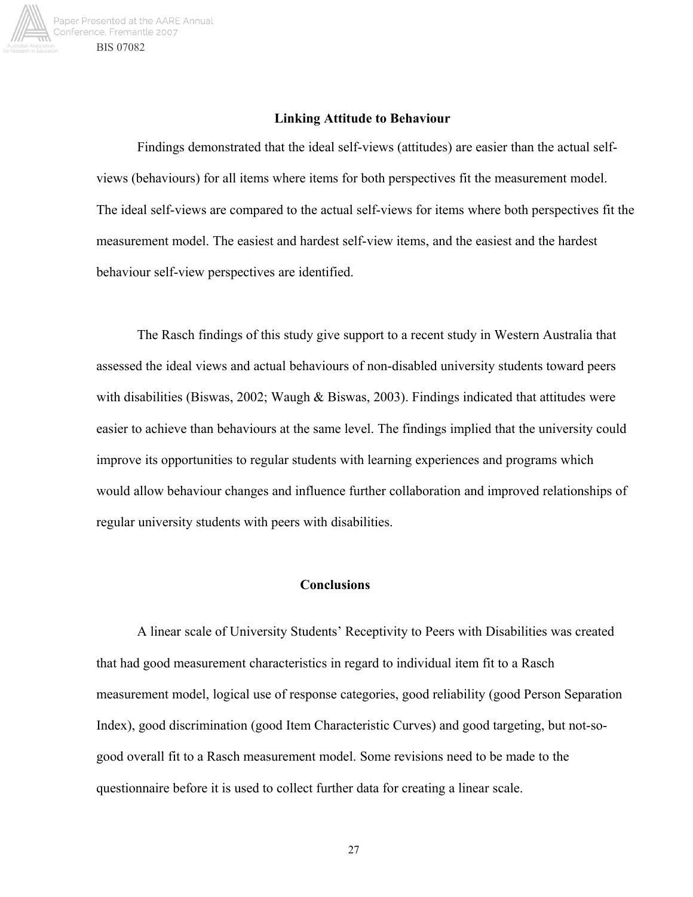

#### **Linking Attitude to Behaviour**

Findings demonstrated that the ideal self-views (attitudes) are easier than the actual selfviews (behaviours) for all items where items for both perspectives fit the measurement model. The ideal self-views are compared to the actual self-views for items where both perspectives fit the measurement model. The easiest and hardest self-view items, and the easiest and the hardest behaviour self-view perspectives are identified.

The Rasch findings of this study give support to a recent study in Western Australia that assessed the ideal views and actual behaviours of non-disabled university students toward peers with disabilities (Biswas, 2002; Waugh  $\&$  Biswas, 2003). Findings indicated that attitudes were easier to achieve than behaviours at the same level. The findings implied that the university could improve its opportunities to regular students with learning experiences and programs which would allow behaviour changes and influence further collaboration and improved relationships of regular university students with peers with disabilities.

#### **Conclusions**

A linear scale of University Students' Receptivity to Peers with Disabilities was created that had good measurement characteristics in regard to individual item fit to a Rasch measurement model, logical use of response categories, good reliability (good Person Separation Index), good discrimination (good Item Characteristic Curves) and good targeting, but not-sogood overall fit to a Rasch measurement model. Some revisions need to be made to the questionnaire before it is used to collect further data for creating a linear scale.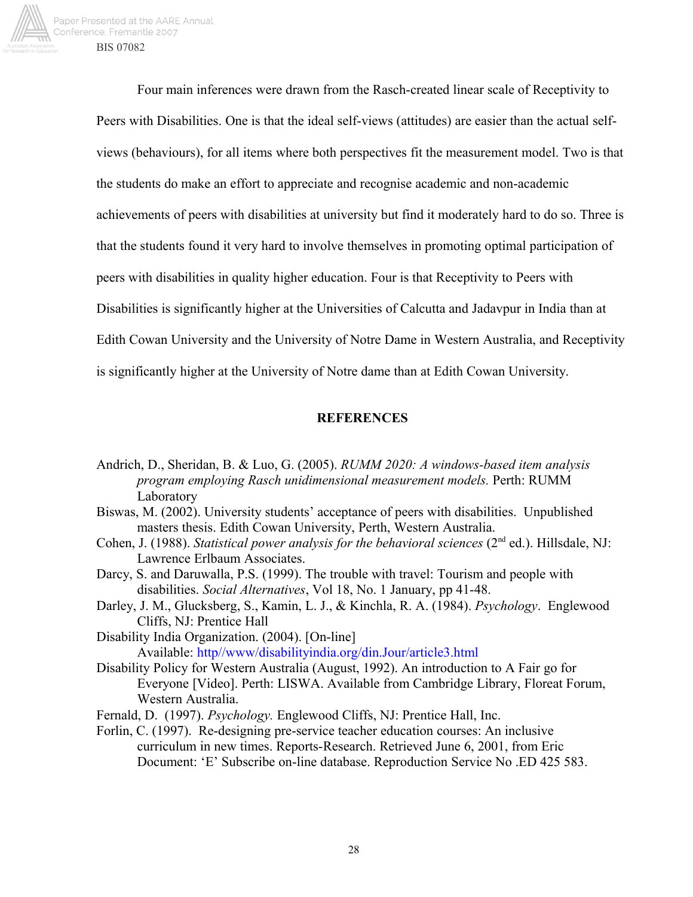

Four main inferences were drawn from the Rasch-created linear scale of Receptivity to Peers with Disabilities. One is that the ideal self-views (attitudes) are easier than the actual selfviews (behaviours), for all items where both perspectives fit the measurement model. Two is that the students do make an effort to appreciate and recognise academic and non-academic achievements of peers with disabilities at university but find it moderately hard to do so. Three is that the students found it very hard to involve themselves in promoting optimal participation of peers with disabilities in quality higher education. Four is that Receptivity to Peers with Disabilities is significantly higher at the Universities of Calcutta and Jadavpur in India than at Edith Cowan University and the University of Notre Dame in Western Australia, and Receptivity is significantly higher at the University of Notre dame than at Edith Cowan University.

#### **REFERENCES**

- Andrich, D., Sheridan, B. & Luo, G. (2005). *RUMM 2020: A windows-based item analysis program employing Rasch unidimensional measurement models.* Perth: RUMM Laboratory
- Biswas, M. (2002). University students' acceptance of peers with disabilities. Unpublished masters thesis. Edith Cowan University, Perth, Western Australia.
- Cohen, J. (1988). *Statistical power analysis for the behavioral sciences* (2<sup>nd</sup> ed.). Hillsdale, NJ: Lawrence Erlbaum Associates.
- Darcy, S. and Daruwalla, P.S. (1999). The trouble with travel: Tourism and people with disabilities. *Social Alternatives*, Vol 18, No. 1 January, pp 41-48.
- Darley, J. M., Glucksberg, S., Kamin, L. J., & Kinchla, R. A. (1984). *Psychology*. Englewood Cliffs, NJ: Prentice Hall

Disability India Organization. (2004). [On-line] Available: http//www/disabilityindia.org/din.Jour/article3.html

- Disability Policy for Western Australia (August, 1992). An introduction to A Fair go for Everyone [Video]. Perth: LISWA. Available from Cambridge Library, Floreat Forum, Western Australia.
- Fernald, D. (1997). *Psychology.* Englewood Cliffs, NJ: Prentice Hall, Inc.
- Forlin, C. (1997). Re-designing pre-service teacher education courses: An inclusive curriculum in new times. Reports-Research. Retrieved June 6, 2001, from Eric Document: 'E' Subscribe on-line database. Reproduction Service No .ED 425 583.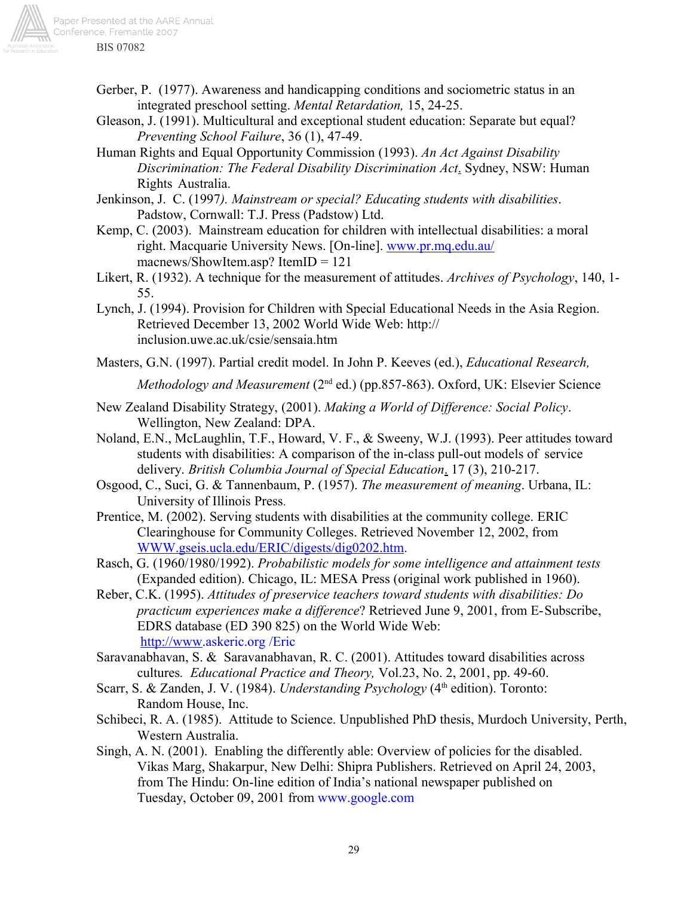

- Gerber, P. (1977). Awareness and handicapping conditions and sociometric status in an integrated preschool setting. *Mental Retardation,* 15, 24-25.
- Gleason, J. (1991). Multicultural and exceptional student education: Separate but equal? *Preventing School Failure*, 36 (1), 47-49.
- Human Rights and Equal Opportunity Commission (1993). *An Act Against Disability Discrimination: The Federal Disability Discrimination Act*. Sydney, NSW: Human Rights Australia.
- Jenkinson, J. C. (1997*). Mainstream or special? Educating students with disabilities*. Padstow, Cornwall: T.J. Press (Padstow) Ltd.
- Kemp, C. (2003). Mainstream education for children with intellectual disabilities: a moral right. Macquarie University News. [On-line]. www.pr.mq.edu.au/ macnews/ShowItem.asp? ItemID = 121
- Likert, R. (1932). A technique for the measurement of attitudes. *Archives of Psychology*, 140, 1- 55.
- Lynch, J. (1994). Provision for Children with Special Educational Needs in the Asia Region. Retrieved December 13, 2002 World Wide Web: http:// inclusion.uwe.ac.uk/csie/sensaia.htm
- Masters, G.N. (1997). Partial credit model. In John P. Keeves (ed.), *Educational Research,*

*Methodology and Measurement* (2<sup>nd</sup> ed.) (pp.857-863). Oxford, UK: Elsevier Science

- New Zealand Disability Strategy, (2001). *Making a World of Difference: Social Policy*. Wellington, New Zealand: DPA.
- Noland, E.N., McLaughlin, T.F., Howard, V. F., & Sweeny, W.J. (1993). Peer attitudes toward students with disabilities: A comparison of the in-class pull-out models of service delivery. *British Columbia Journal of Special Education*. 17 (3), 210-217.
- Osgood, C., Suci, G. & Tannenbaum, P. (1957). *The measurement of meaning*. Urbana, IL: University of Illinois Press.
- Prentice, M. (2002). Serving students with disabilities at the community college. ERIC Clearinghouse for Community Colleges. Retrieved November 12, 2002, from WWW.gseis.ucla.edu/ERIC/digests/dig0202.htm.
- Rasch, G. (1960/1980/1992). *Probabilistic models for some intelligence and attainment tests* (Expanded edition). Chicago, IL: MESA Press (original work published in 1960).
- Reber, C.K. (1995). *Attitudes of preservice teachers toward students with disabilities: Do practicum experiences make a difference*? Retrieved June 9, 2001, from E-Subscribe, EDRS database (ED 390 825) on the World Wide Web: http://www.askeric.org /Eric
- Saravanabhavan, S. & Saravanabhavan, R. C. (2001). Attitudes toward disabilities across cultures*. Educational Practice and Theory,* Vol.23, No. 2, 2001, pp. 49-60.
- Scarr, S. & Zanden, J. V. (1984). *Understanding Psychology* (4<sup>th</sup> edition). Toronto: Random House, Inc.
- Schibeci, R. A. (1985). Attitude to Science. Unpublished PhD thesis, Murdoch University, Perth, Western Australia.
- Singh, A. N. (2001). Enabling the differently able: Overview of policies for the disabled. Vikas Marg, Shakarpur, New Delhi: Shipra Publishers. Retrieved on April 24, 2003, from The Hindu: On-line edition of India's national newspaper published on Tuesday, October 09, 2001 from www.google.com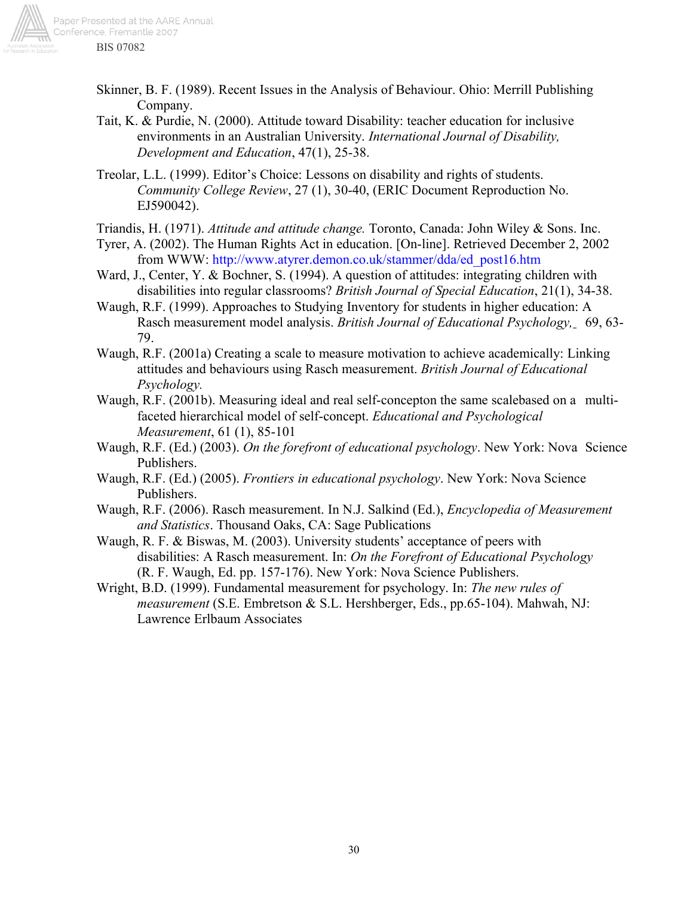

- Skinner, B. F. (1989). Recent Issues in the Analysis of Behaviour. Ohio: Merrill Publishing Company.
- Tait, K. & Purdie, N. (2000). Attitude toward Disability: teacher education for inclusive environments in an Australian University. *International Journal of Disability, Development and Education*, 47(1), 25-38.
- Treolar, L.L. (1999). Editor's Choice: Lessons on disability and rights of students. *Community College Review*, 27 (1), 30-40, (ERIC Document Reproduction No. EJ590042).
- Triandis, H. (1971). *Attitude and attitude change.* Toronto, Canada: John Wiley & Sons. Inc.
- Tyrer, A. (2002). The Human Rights Act in education. [On-line]. Retrieved December 2, 2002 from WWW: http://www.atyrer.demon.co.uk/stammer/dda/ed\_post16.htm
- Ward, J., Center, Y. & Bochner, S. (1994). A question of attitudes: integrating children with disabilities into regular classrooms? *British Journal of Special Education*, 21(1), 34-38.
- Waugh, R.F. (1999). Approaches to Studying Inventory for students in higher education: A Rasch measurement model analysis. *British Journal of Educational Psychology,* 69, 63- 79.
- Waugh, R.F. (2001a) Creating a scale to measure motivation to achieve academically: Linking attitudes and behaviours using Rasch measurement. *British Journal of Educational Psychology.*
- Waugh, R.F. (2001b). Measuring ideal and real self-concepton the same scalebased on a multifaceted hierarchical model of self-concept. *Educational and Psychological Measurement*, 61 (1), 85-101
- Waugh, R.F. (Ed.) (2003). *On the forefront of educational psychology*. New York: Nova Science Publishers.
- Waugh, R.F. (Ed.) (2005). *Frontiers in educational psychology*. New York: Nova Science Publishers.
- Waugh, R.F. (2006). Rasch measurement. In N.J. Salkind (Ed.), *Encyclopedia of Measurement and Statistics*. Thousand Oaks, CA: Sage Publications
- Waugh, R. F. & Biswas, M. (2003). University students' acceptance of peers with disabilities: A Rasch measurement. In: *On the Forefront of Educational Psychology* (R. F. Waugh, Ed. pp. 157-176). New York: Nova Science Publishers.
- Wright, B.D. (1999). Fundamental measurement for psychology. In: *The new rules of measurement* (S.E. Embretson & S.L. Hershberger, Eds., pp.65-104). Mahwah, NJ: Lawrence Erlbaum Associates